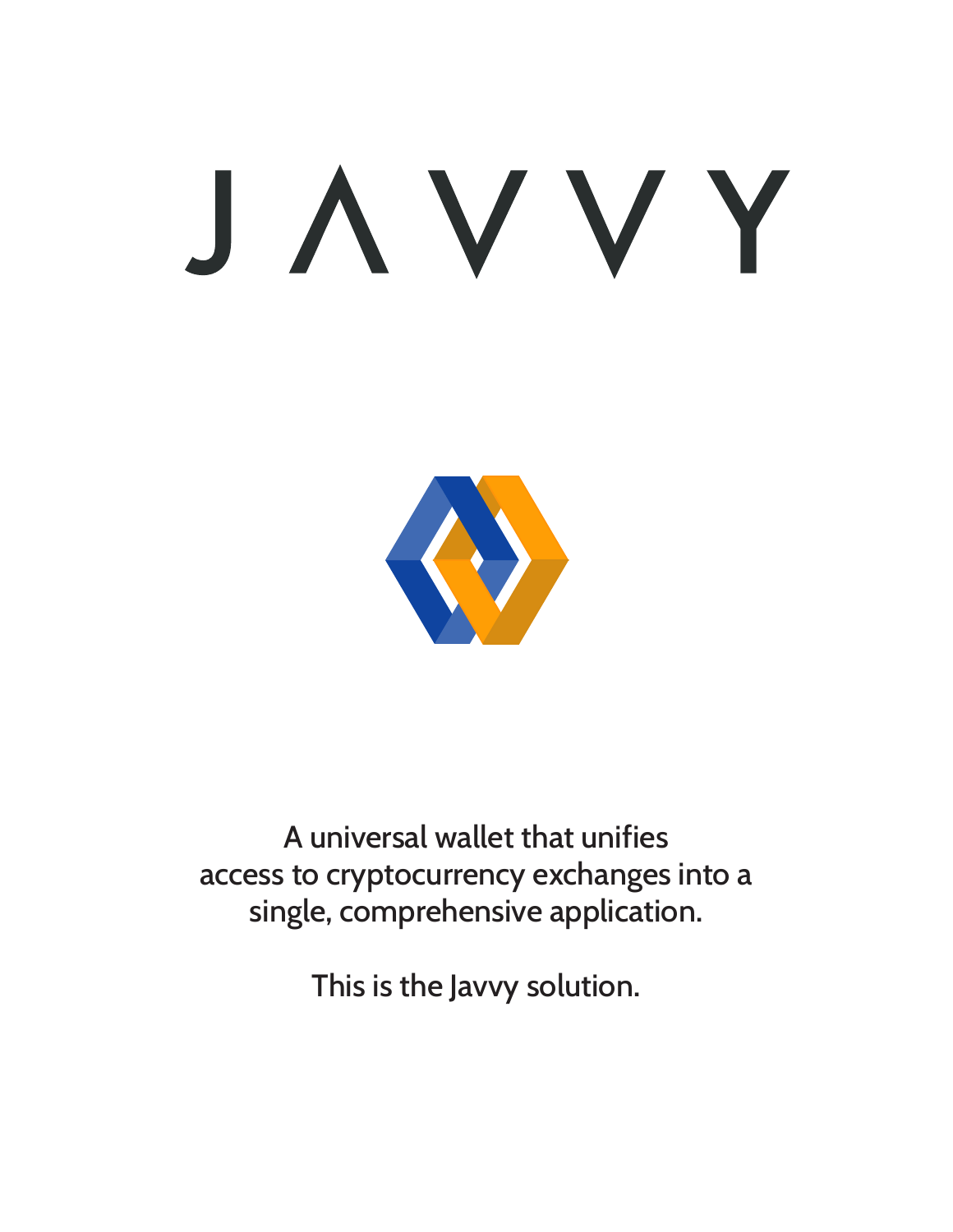# JAVVY



A universal wallet that unifies access to cryptocurrency exchanges into a single, comprehensive application.

This is the Javvy solution.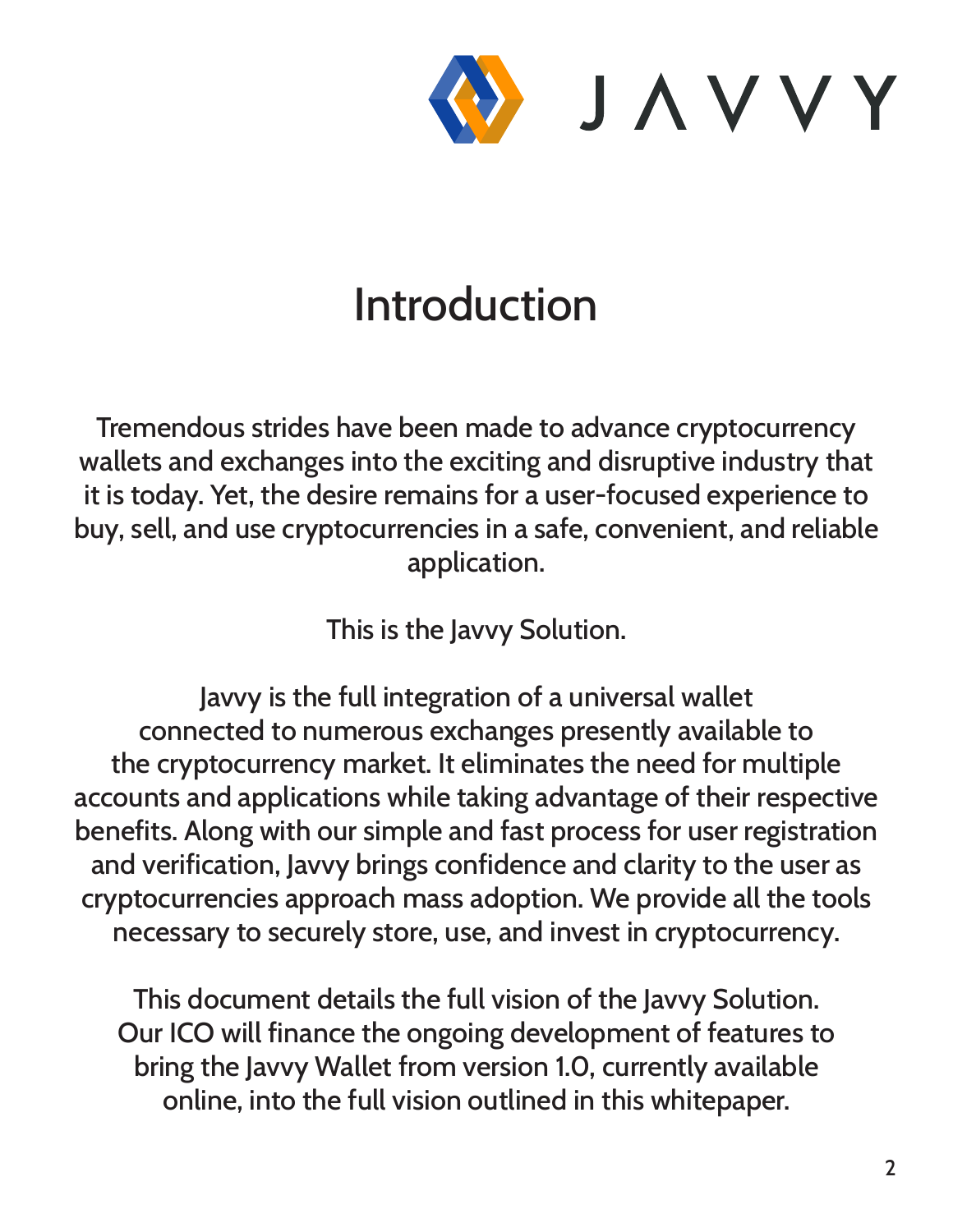

## Introduction

Tremendous strides have been made to advance cryptocurrency wallets and exchanges into the exciting and disruptive industry that it is today. Yet, the desire remains for a user-focused experience to buy, sell, and use cryptocurrencies in a safe, convenient, and reliable application.

This is the Javvy Solution.

Javvy is the full integration of a universal wallet connected to numerous exchanges presently available to the cryptocurrency market. It eliminates the need for multiple accounts and applications while taking advantage of their respective benefits. Along with our simple and fast process for user registration and verification, Javvy brings confidence and clarity to the user as cryptocurrencies approach mass adoption. We provide all the tools necessary to securely store, use, and invest in cryptocurrency.

This document details the full vision of the Javvy Solution. Our ICO will finance the ongoing development of features to bring the Javvy Wallet from version 1.0, currently available online, into the full vision outlined in this whitepaper.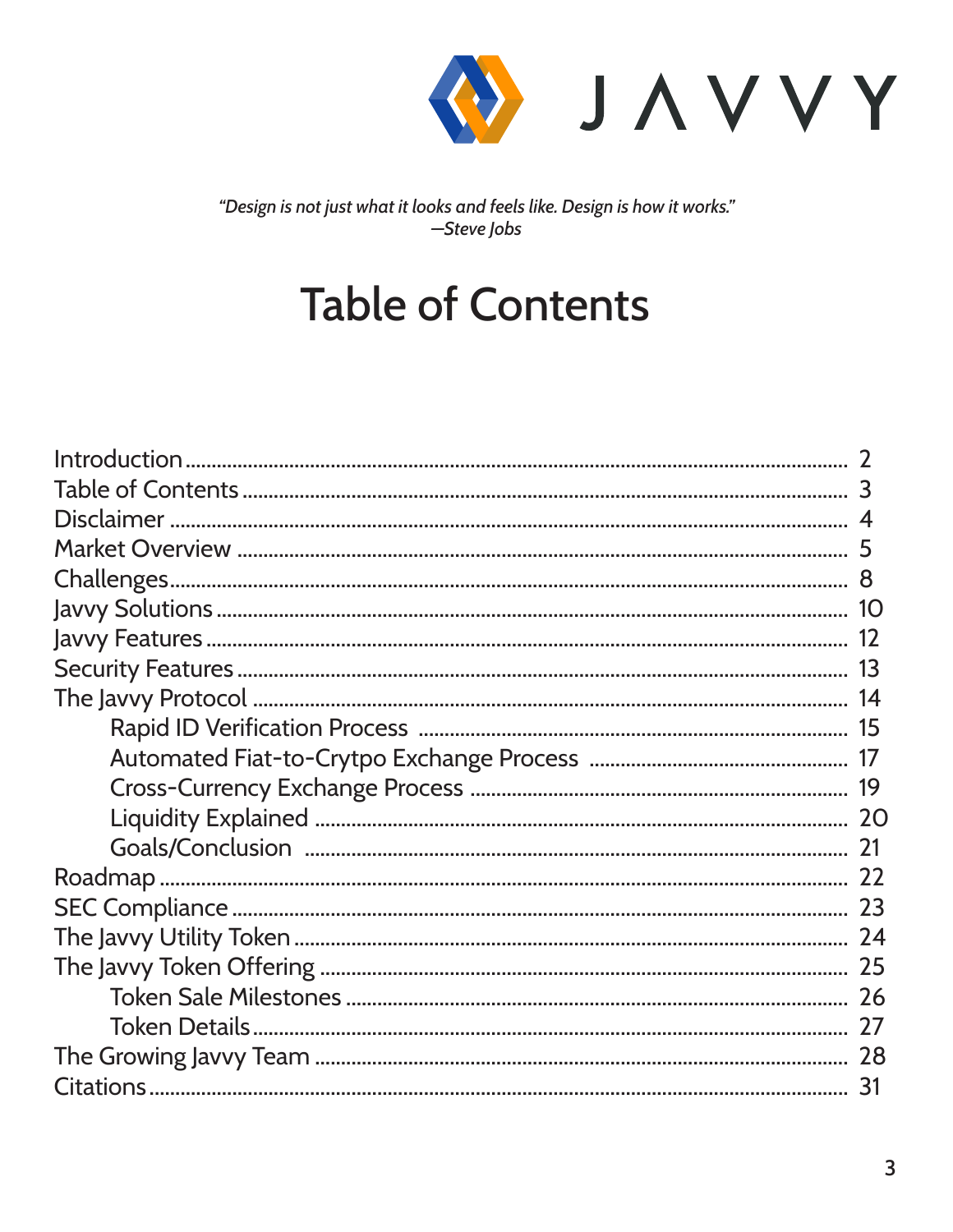

"Design is not just what it looks and feels like. Design is how it works." -Steve Jobs

## **Table of Contents**

| 1 <sup>O</sup> |
|----------------|
|                |
|                |
|                |
|                |
|                |
|                |
|                |
|                |
|                |
|                |
|                |
| 25             |
|                |
|                |
|                |
| 31             |
|                |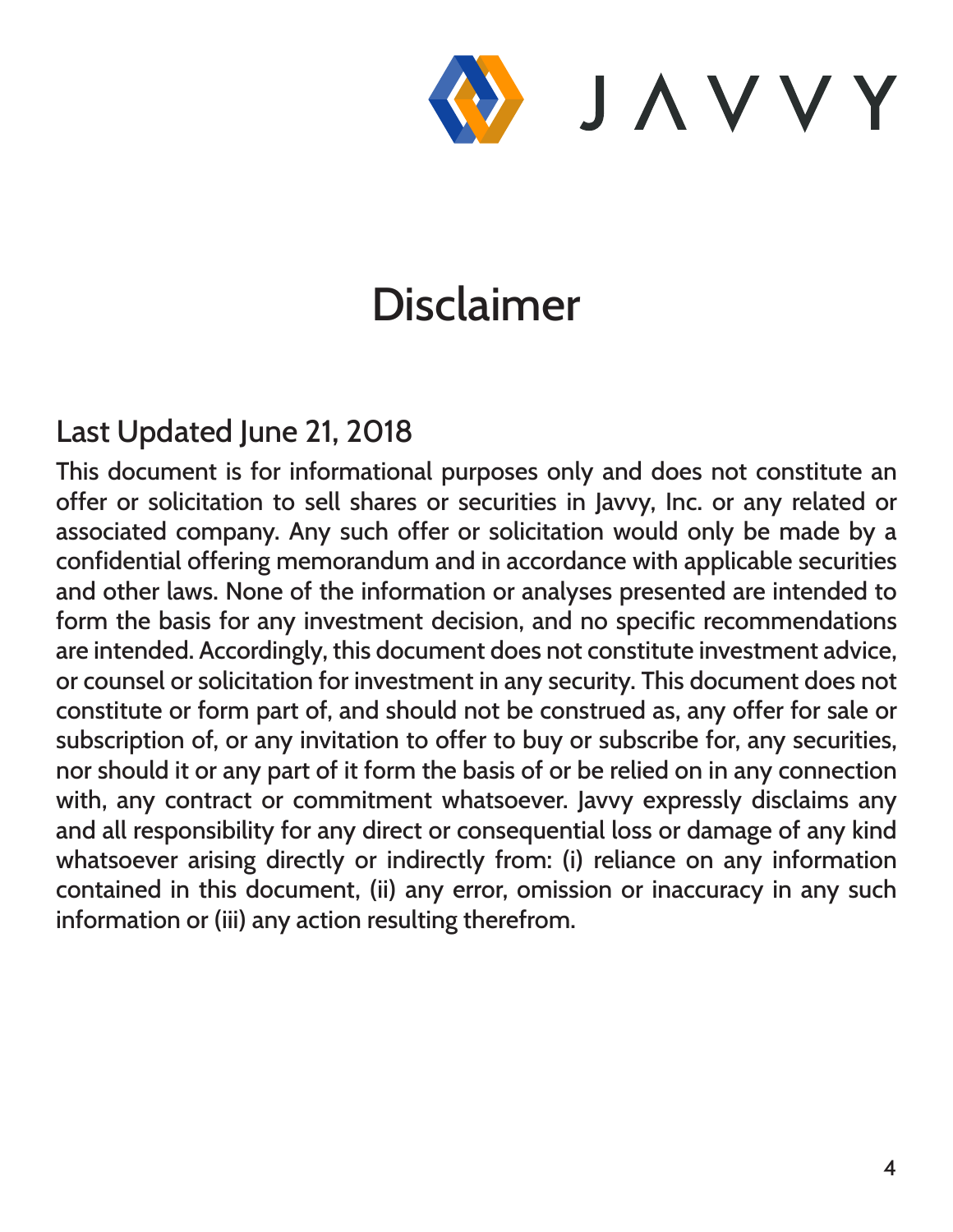

## Disclaimer

#### Last Updated June 21, 2018

This document is for informational purposes only and does not constitute an offer or solicitation to sell shares or securities in Javvy, Inc. or any related or associated company. Any such offer or solicitation would only be made by a confidential offering memorandum and in accordance with applicable securities and other laws. None of the information or analyses presented are intended to form the basis for any investment decision, and no specific recommendations are intended. Accordingly, this document does not constitute investment advice, or counsel or solicitation for investment in any security. This document does not constitute or form part of, and should not be construed as, any offer for sale or subscription of, or any invitation to offer to buy or subscribe for, any securities, nor should it or any part of it form the basis of or be relied on in any connection with, any contract or commitment whatsoever. Javvy expressly disclaims any and all responsibility for any direct or consequential loss or damage of any kind whatsoever arising directly or indirectly from: (i) reliance on any information contained in this document, (ii) any error, omission or inaccuracy in any such information or (iii) any action resulting therefrom.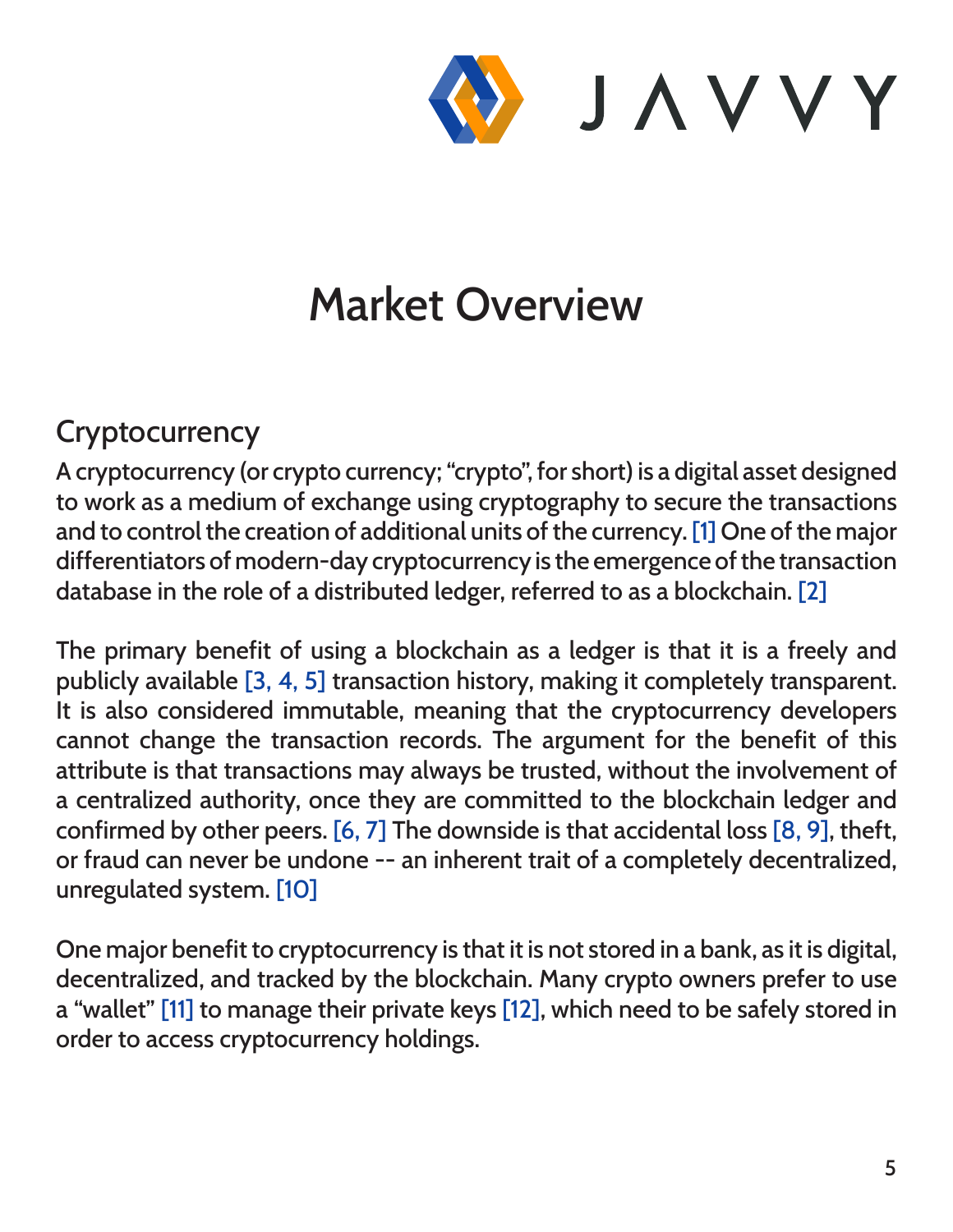

## Market Overview

#### **Cryptocurrency**

A cryptocurrency (or crypto currency; "crypto", for short) is a digital asset designed to work as a medium of exchange using cryptography to secure the transactions and to control the creation of additional units of the currency. [1] One of the major differentiators of modern-day cryptocurrency is the emergence of the transaction database in the role of a distributed ledger, referred to as a blockchain. [2]

The primary benefit of using a blockchain as a ledger is that it is a freely and publicly available [3, 4, 5] transaction history, making it completely transparent. It is also considered immutable, meaning that the cryptocurrency developers cannot change the transaction records. The argument for the benefit of this attribute is that transactions may always be trusted, without the involvement of a centralized authority, once they are committed to the blockchain ledger and confirmed by other peers. [6, 7] The downside is that accidental loss [8, 9], theft, or fraud can never be undone -- an inherent trait of a completely decentralized, unregulated system. [10]

One major benefit to cryptocurrency is that it is not stored in a bank, as it is digital, decentralized, and tracked by the blockchain. Many crypto owners prefer to use a "wallet" [11] to manage their private keys [12], which need to be safely stored in order to access cryptocurrency holdings.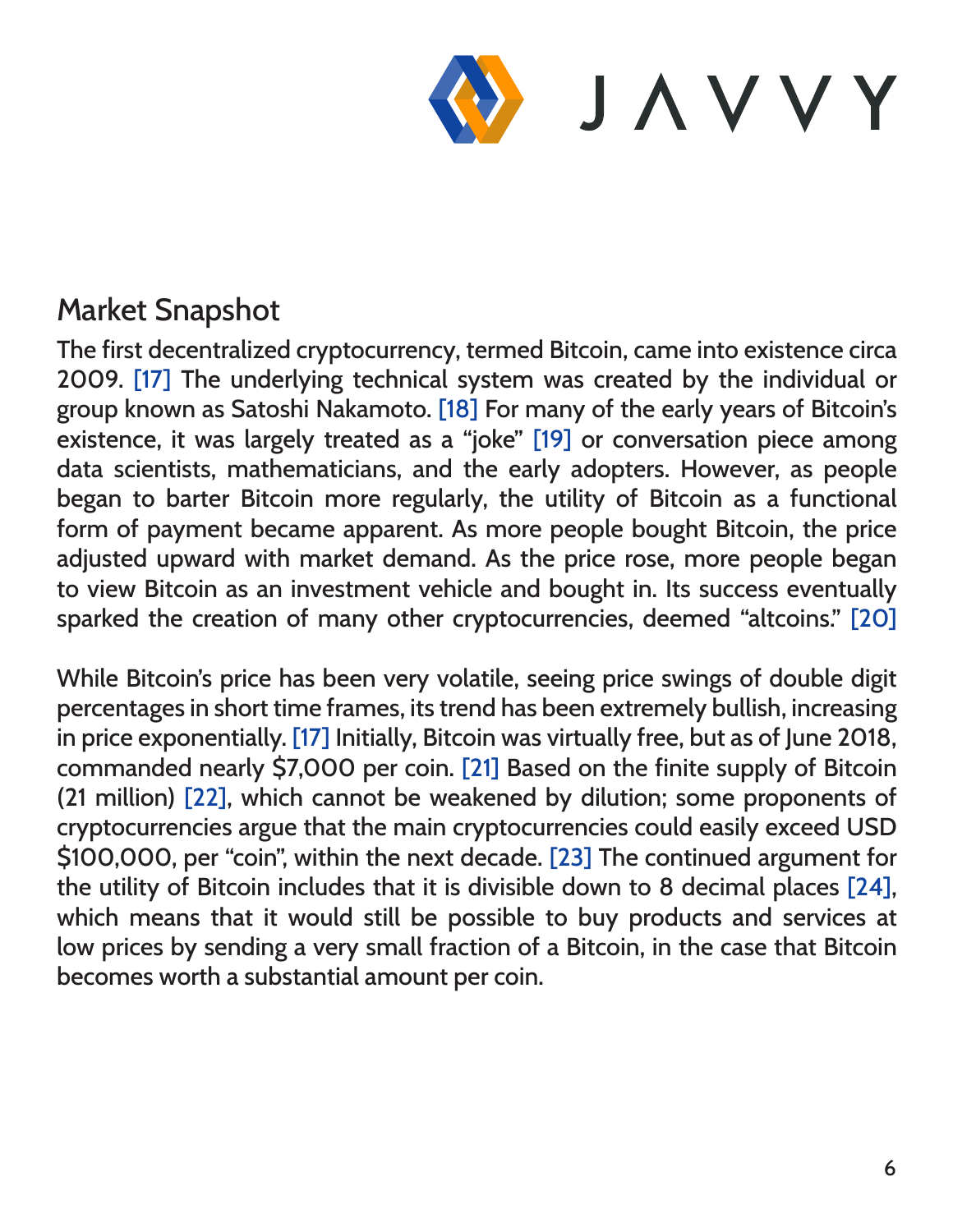

#### Market Snapshot

The first decentralized cryptocurrency, termed Bitcoin, came into existence circa 2009. [17] The underlying technical system was created by the individual or group known as Satoshi Nakamoto. [18] For many of the early years of Bitcoin's existence, it was largely treated as a "joke" [19] or conversation piece among data scientists, mathematicians, and the early adopters. However, as people began to barter Bitcoin more regularly, the utility of Bitcoin as a functional form of payment became apparent. As more people bought Bitcoin, the price adjusted upward with market demand. As the price rose, more people began to view Bitcoin as an investment vehicle and bought in. Its success eventually sparked the creation of many other cryptocurrencies, deemed "altcoins." [20]

While Bitcoin's price has been very volatile, seeing price swings of double digit percentages in short time frames, its trend has been extremely bullish, increasing in price exponentially. [17] Initially, Bitcoin was virtually free, but as of June 2018, commanded nearly \$7,000 per coin. [21] Based on the finite supply of Bitcoin (21 million) [22], which cannot be weakened by dilution; some proponents of cryptocurrencies argue that the main cryptocurrencies could easily exceed USD \$100,000, per "coin", within the next decade. [23] The continued argument for the utility of Bitcoin includes that it is divisible down to 8 decimal places [24], which means that it would still be possible to buy products and services at low prices by sending a very small fraction of a Bitcoin, in the case that Bitcoin becomes worth a substantial amount per coin.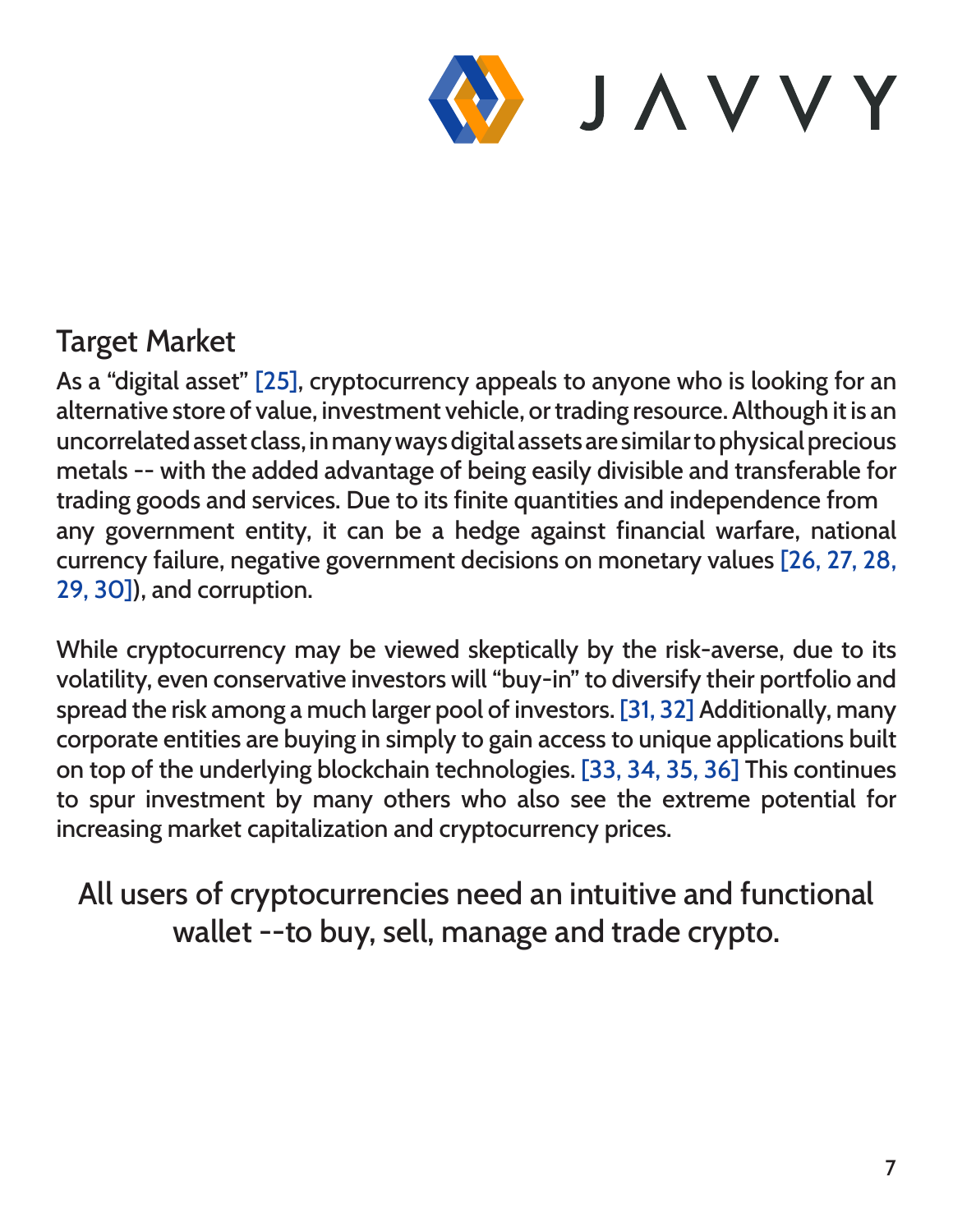

#### Target Market

As a "digital asset" [25], cryptocurrency appeals to anyone who is looking for an alternative store of value, investment vehicle, or trading resource. Although it is an uncorrelated asset class, in many ways digital assets are similar to physical precious metals -- with the added advantage of being easily divisible and transferable for trading goods and services. Due to its finite quantities and independence from any government entity, it can be a hedge against financial warfare, national currency failure, negative government decisions on monetary values [26, 27, 28, 29, 30]), and corruption.

While cryptocurrency may be viewed skeptically by the risk-averse, due to its volatility, even conservative investors will "buy-in" to diversify their portfolio and spread the risk among a much larger pool of investors. [31, 32] Additionally, many corporate entities are buying in simply to gain access to unique applications built on top of the underlying blockchain technologies. [33, 34, 35, 36] This continues to spur investment by many others who also see the extreme potential for increasing market capitalization and cryptocurrency prices.

All users of cryptocurrencies need an intuitive and functional wallet --to buy, sell, manage and trade crypto.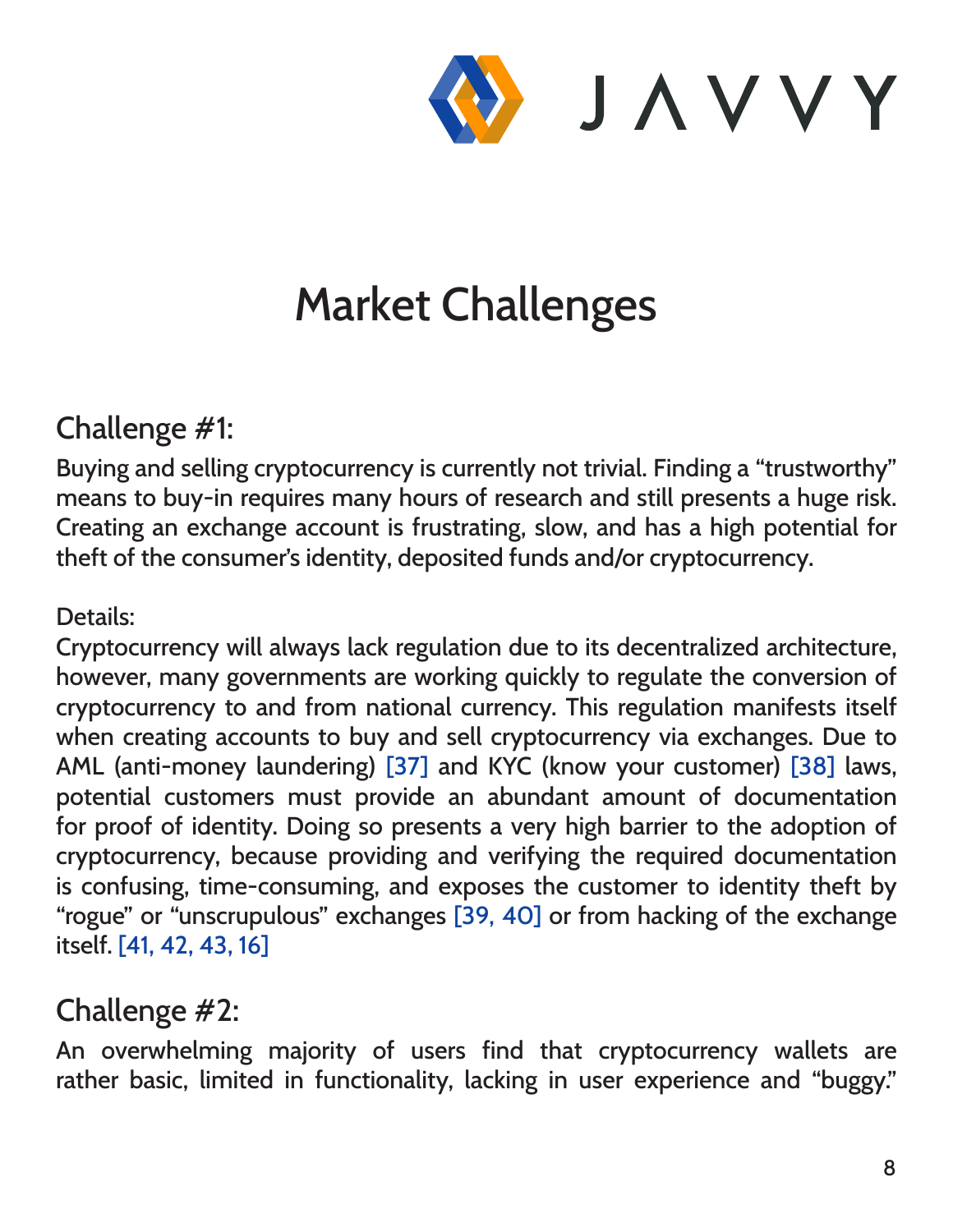

## Market Challenges

#### Challenge #1:

Buying and selling cryptocurrency is currently not trivial. Finding a "trustworthy" means to buy-in requires many hours of research and still presents a huge risk. Creating an exchange account is frustrating, slow, and has a high potential for theft of the consumer's identity, deposited funds and/or cryptocurrency.

#### Details:

Cryptocurrency will always lack regulation due to its decentralized architecture, however, many governments are working quickly to regulate the conversion of cryptocurrency to and from national currency. This regulation manifests itself when creating accounts to buy and sell cryptocurrency via exchanges. Due to AML (anti-money laundering) [37] and KYC (know your customer) [38] laws, potential customers must provide an abundant amount of documentation for proof of identity. Doing so presents a very high barrier to the adoption of cryptocurrency, because providing and verifying the required documentation is confusing, time-consuming, and exposes the customer to identity theft by "rogue" or "unscrupulous" exchanges [39, 40] or from hacking of the exchange itself. [41, 42, 43, 16]

#### Challenge #2:

An overwhelming majority of users find that cryptocurrency wallets are rather basic, limited in functionality, lacking in user experience and "buggy."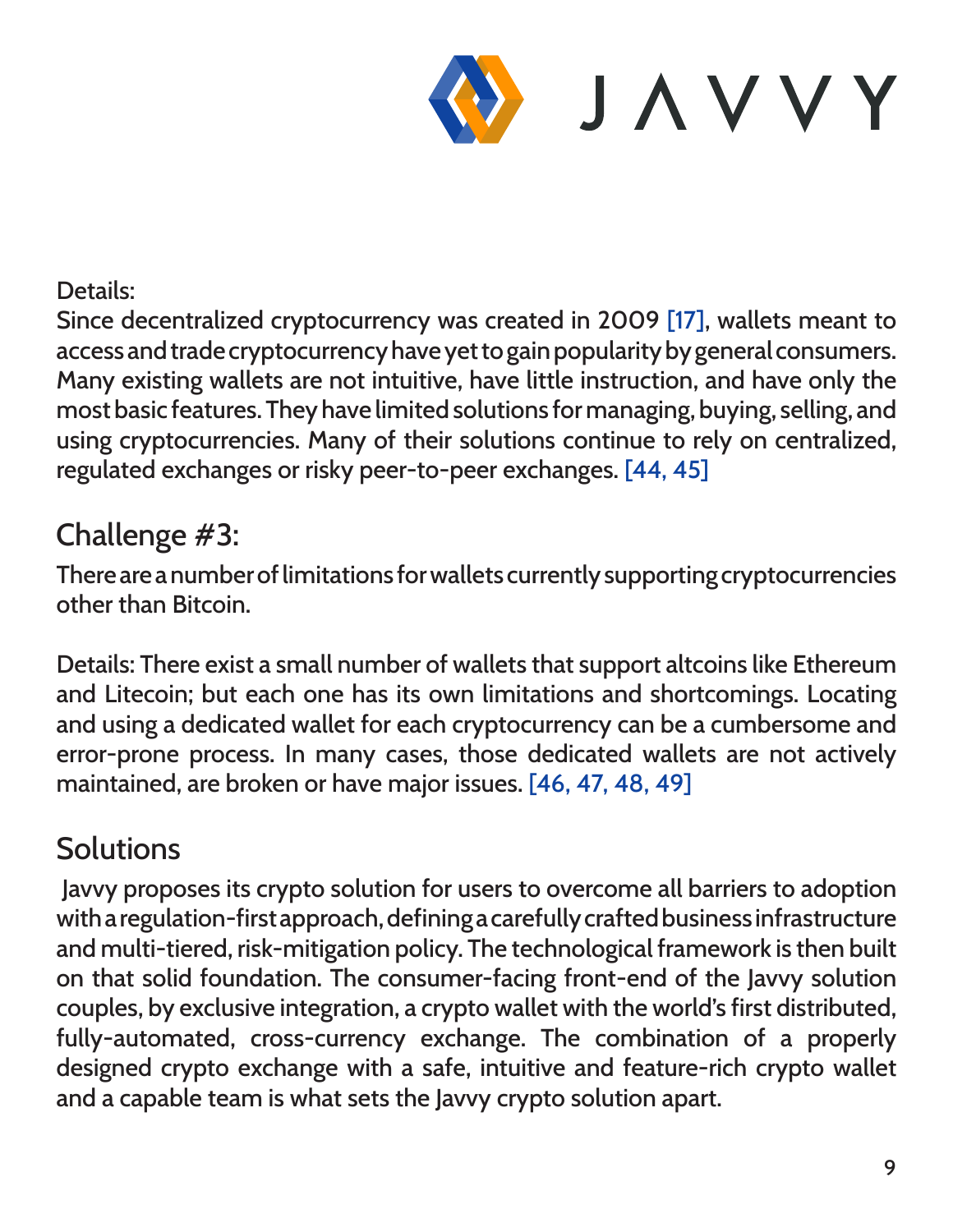

#### Details:

Since decentralized cryptocurrency was created in 2009 [17], wallets meant to access and trade cryptocurrency have yet to gain popularity by general consumers. Many existing wallets are not intuitive, have little instruction, and have only the most basic features. They have limited solutions for managing, buying, selling, and using cryptocurrencies. Many of their solutions continue to rely on centralized, regulated exchanges or risky peer-to-peer exchanges. [44, 45]

#### Challenge #3:

There are a number of limitations for wallets currently supporting cryptocurrencies other than Bitcoin.

Details: There exist a small number of wallets that support altcoins like Ethereum and Litecoin; but each one has its own limitations and shortcomings. Locating and using a dedicated wallet for each cryptocurrency can be a cumbersome and error-prone process. In many cases, those dedicated wallets are not actively maintained, are broken or have major issues. [46, 47, 48, 49]

#### **Solutions**

 Javvy proposes its crypto solution for users to overcome all barriers to adoption with a regulation-first approach, defining a carefully crafted business infrastructure and multi-tiered, risk-mitigation policy. The technological framework is then built on that solid foundation. The consumer-facing front-end of the Javvy solution couples, by exclusive integration, a crypto wallet with the world's first distributed, fully-automated, cross-currency exchange. The combination of a properly designed crypto exchange with a safe, intuitive and feature-rich crypto wallet and a capable team is what sets the Javvy crypto solution apart.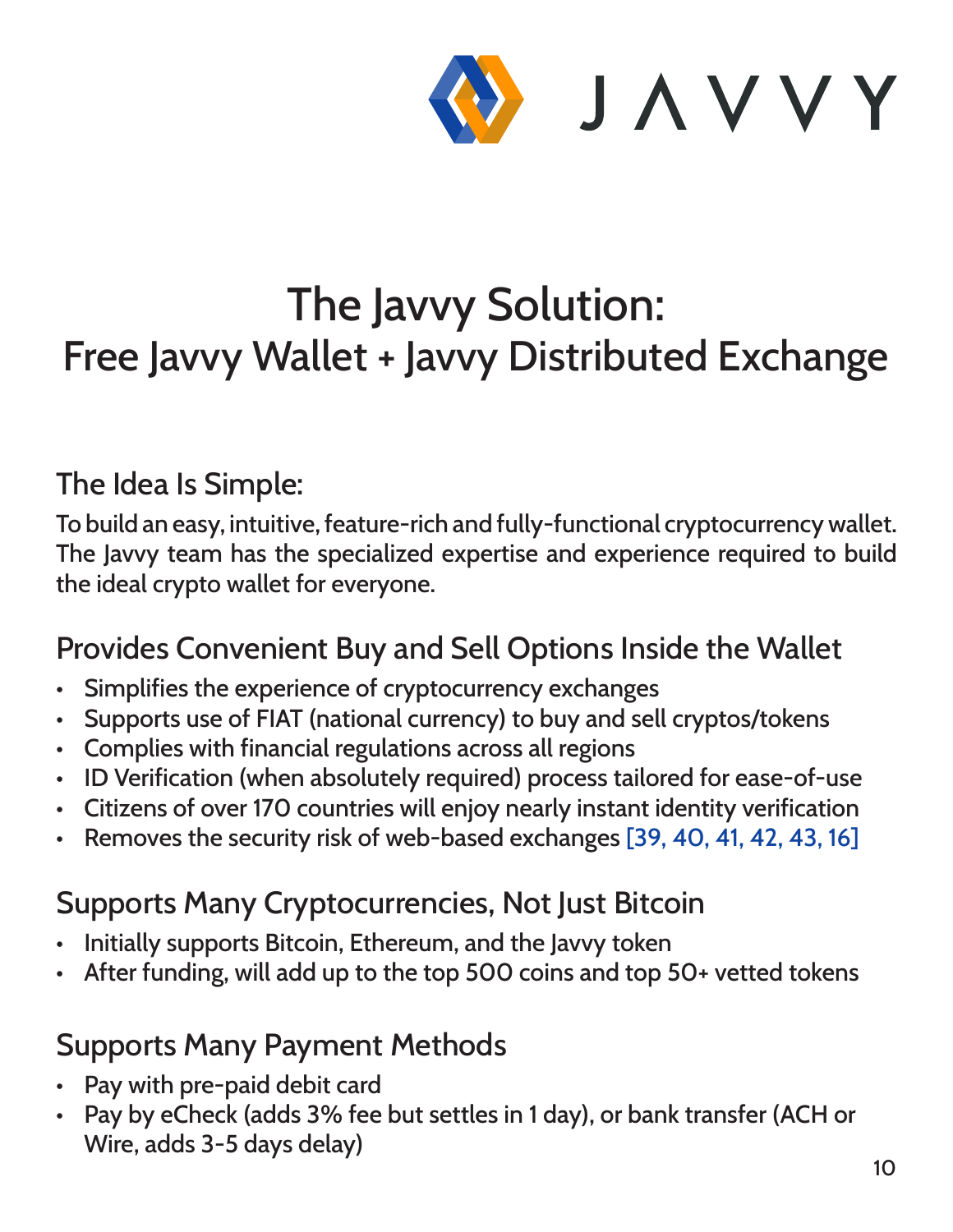

## The Javvy Solution: Free Javvy Wallet + Javvy Distributed Exchange

#### The Idea Is Simple:

To build an easy, intuitive, feature-rich and fully-functional cryptocurrency wallet. The Javvy team has the specialized expertise and experience required to build the ideal crypto wallet for everyone.

#### Provides Convenient Buy and Sell Options Inside the Wallet

- Simplifies the experience of cryptocurrency exchanges
- Supports use of FIAT (national currency) to buy and sell cryptos/tokens
- Complies with financial regulations across all regions
- ID Verification (when absolutely required) process tailored for ease-of-use
- Citizens of over 170 countries will enjoy nearly instant identity verification
- Removes the security risk of web-based exchanges [39, 40, 41, 42, 43, 16]

#### Supports Many Cryptocurrencies, Not Just Bitcoin

- Initially supports Bitcoin, Ethereum, and the Javvy token
- After funding, will add up to the top 500 coins and top 50+ vetted tokens

#### Supports Many Payment Methods

- Pay with pre-paid debit card
- Pay by eCheck (adds 3% fee but settles in 1 day), or bank transfer (ACH or Wire, adds 3-5 days delay)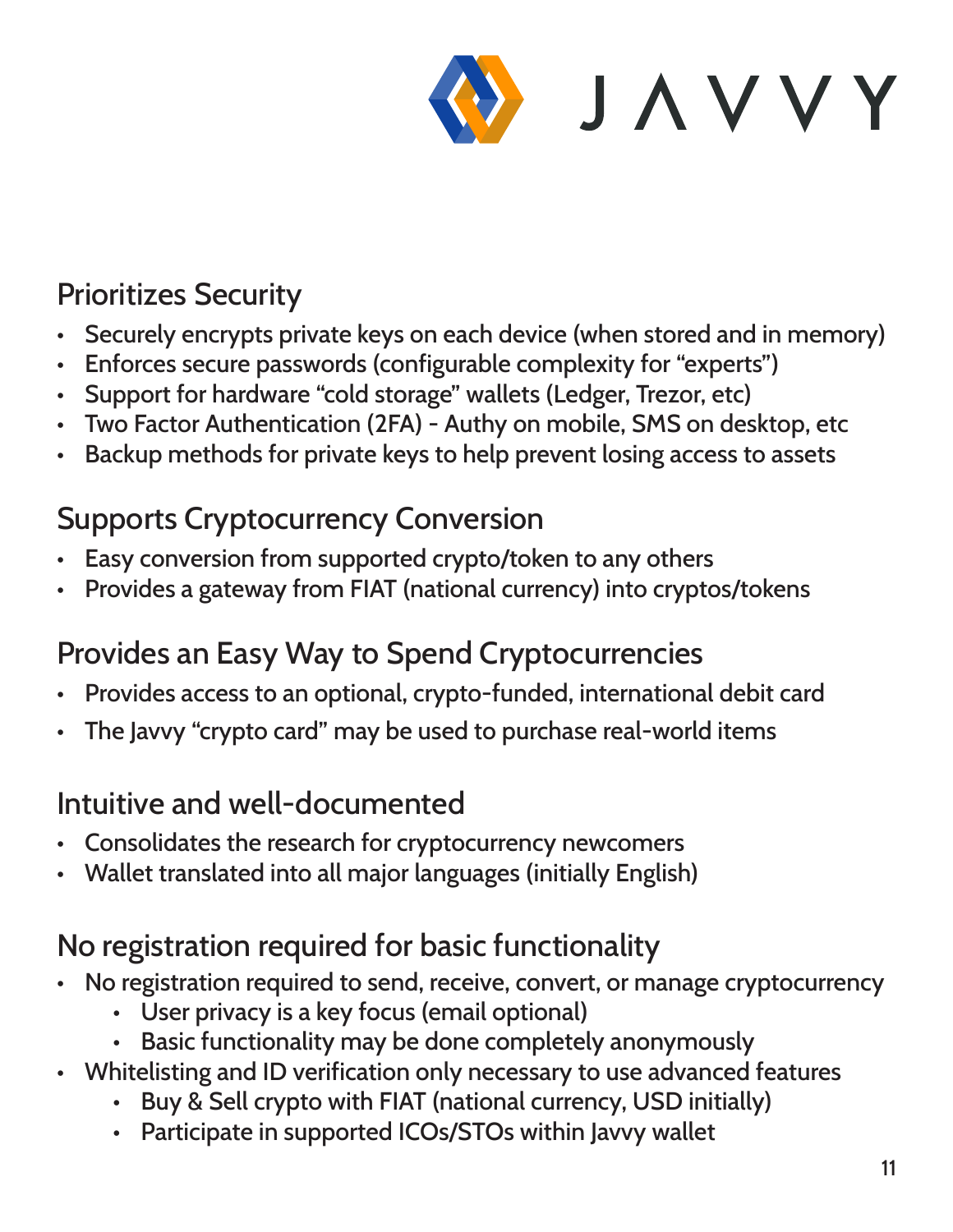

#### Prioritizes Security

- Securely encrypts private keys on each device (when stored and in memory)
- Enforces secure passwords (configurable complexity for "experts")
- Support for hardware "cold storage" wallets (Ledger, Trezor, etc)
- Two Factor Authentication (2FA) Authy on mobile, SMS on desktop, etc
- Backup methods for private keys to help prevent losing access to assets

#### Supports Cryptocurrency Conversion

- Easy conversion from supported crypto/token to any others
- Provides a gateway from FIAT (national currency) into cryptos/tokens

#### Provides an Easy Way to Spend Cryptocurrencies

- Provides access to an optional, crypto-funded, international debit card
- The Javvy "crypto card" may be used to purchase real-world items

#### Intuitive and well-documented

- Consolidates the research for cryptocurrency newcomers
- Wallet translated into all major languages (initially English)

#### No registration required for basic functionality

- No registration required to send, receive, convert, or manage cryptocurrency
	- User privacy is a key focus (email optional)
	- Basic functionality may be done completely anonymously
- Whitelisting and ID verification only necessary to use advanced features
	- Buy & Sell crypto with FIAT (national currency, USD initially)
	- Participate in supported ICOs/STOs within Javvy wallet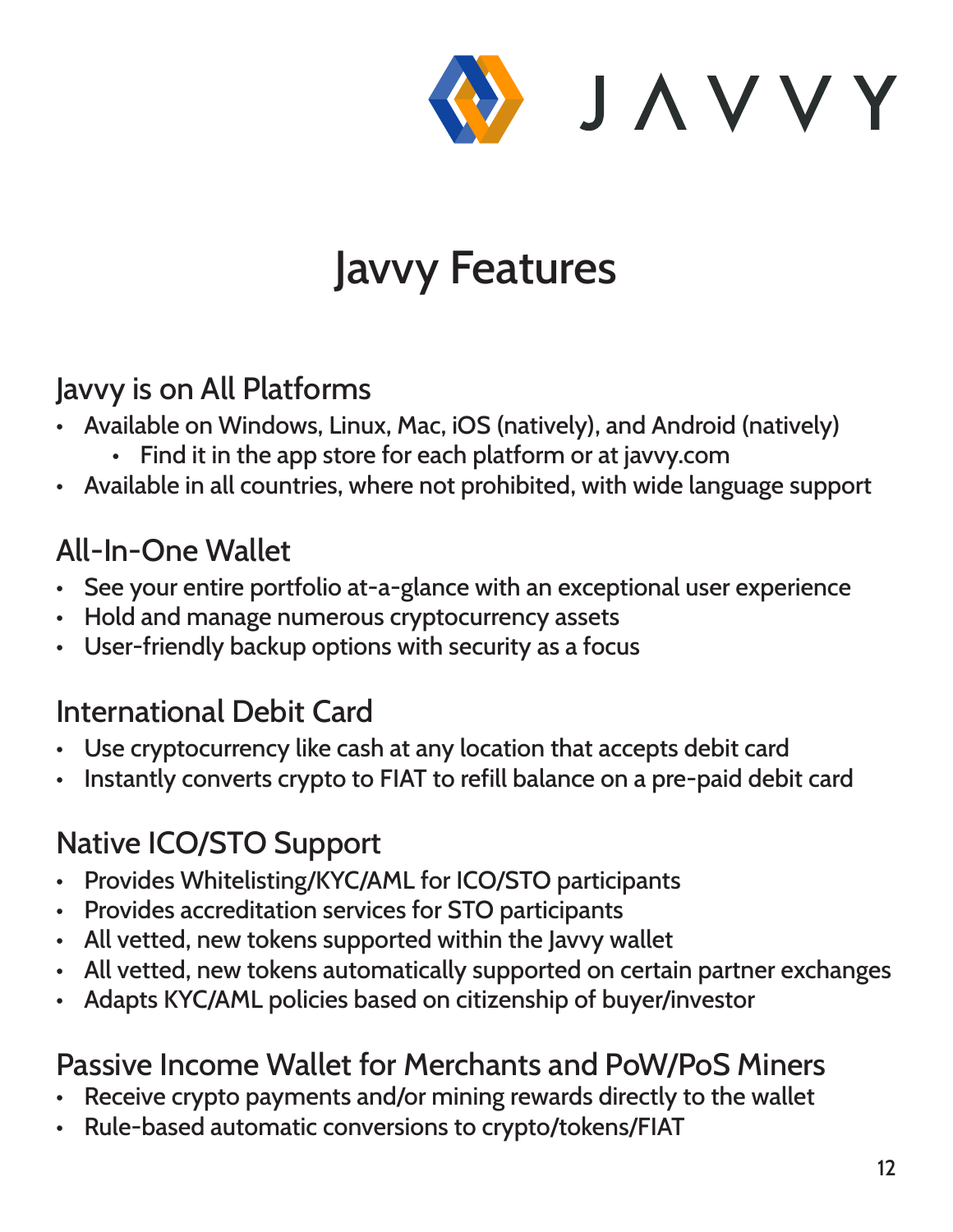

## Javvy Features

#### Javvy is on All Platforms

- Available on Windows, Linux, Mac, iOS (natively), and Android (natively)
	- Find it in the app store for each platform or at javvy.com
- Available in all countries, where not prohibited, with wide language support

#### All-In-One Wallet

- See your entire portfolio at-a-glance with an exceptional user experience
- Hold and manage numerous cryptocurrency assets
- User-friendly backup options with security as a focus

#### International Debit Card

- Use cryptocurrency like cash at any location that accepts debit card
- Instantly converts crypto to FIAT to refill balance on a pre-paid debit card

#### Native ICO/STO Support

- Provides Whitelisting/KYC/AML for ICO/STO participants
- Provides accreditation services for STO participants
- All vetted, new tokens supported within the Javvy wallet
- All vetted, new tokens automatically supported on certain partner exchanges
- Adapts KYC/AML policies based on citizenship of buyer/investor

#### Passive Income Wallet for Merchants and PoW/PoS Miners

- Receive crypto payments and/or mining rewards directly to the wallet
- Rule-based automatic conversions to crypto/tokens/FIAT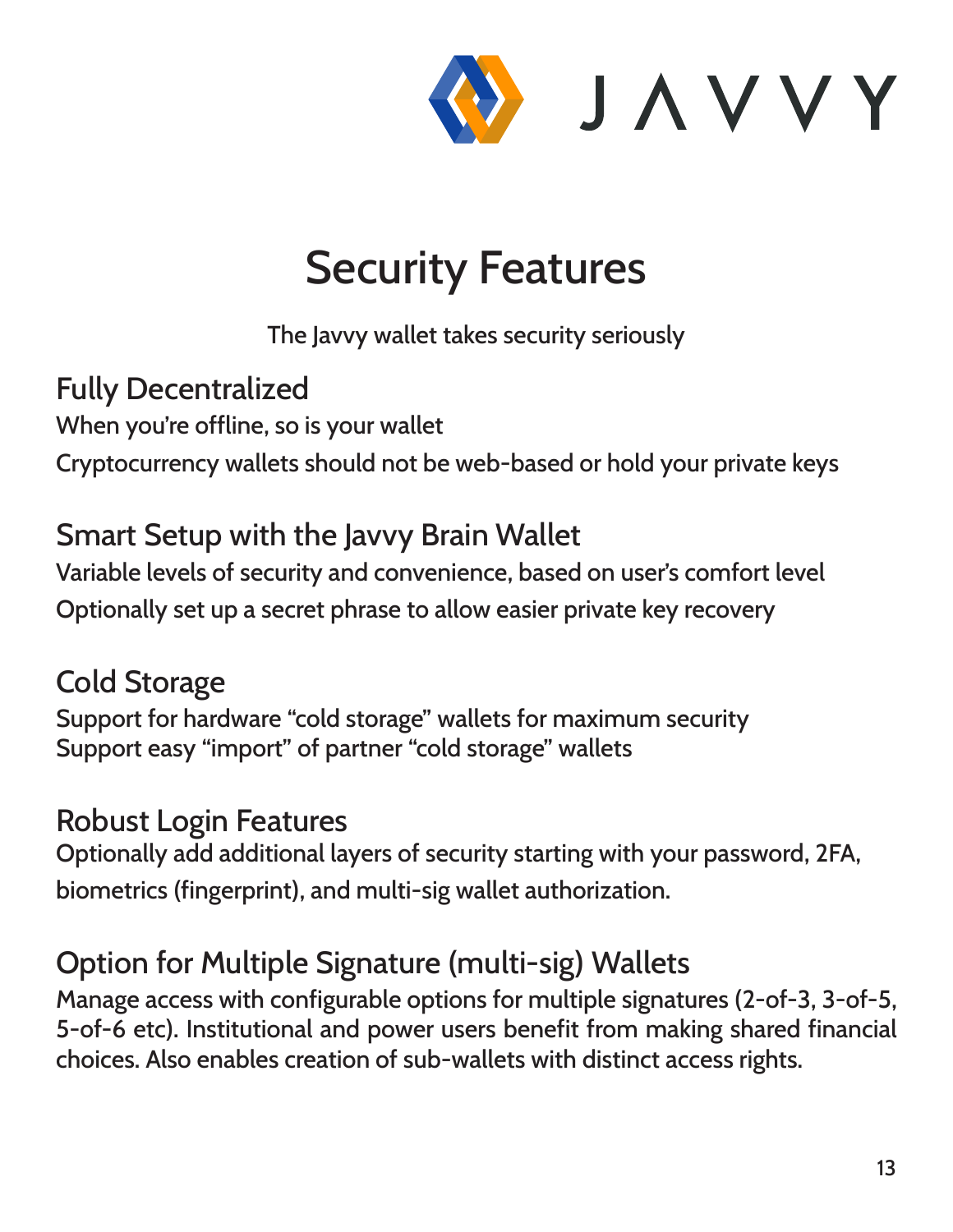

## Security Features

The Javvy wallet takes security seriously

#### Fully Decentralized

When you're offline, so is your wallet Cryptocurrency wallets should not be web-based or hold your private keys

#### Smart Setup with the Javvy Brain Wallet

Variable levels of security and convenience, based on user's comfort level Optionally set up a secret phrase to allow easier private key recovery

#### Cold Storage

Support for hardware "cold storage" wallets for maximum security Support easy "import" of partner "cold storage" wallets

#### Robust Login Features

Optionally add additional layers of security starting with your password, 2FA, biometrics (fingerprint), and multi-sig wallet authorization.

### Option for Multiple Signature (multi-sig) Wallets

Manage access with configurable options for multiple signatures (2-of-3, 3-of-5, 5-of-6 etc). Institutional and power users benefit from making shared financial choices. Also enables creation of sub-wallets with distinct access rights.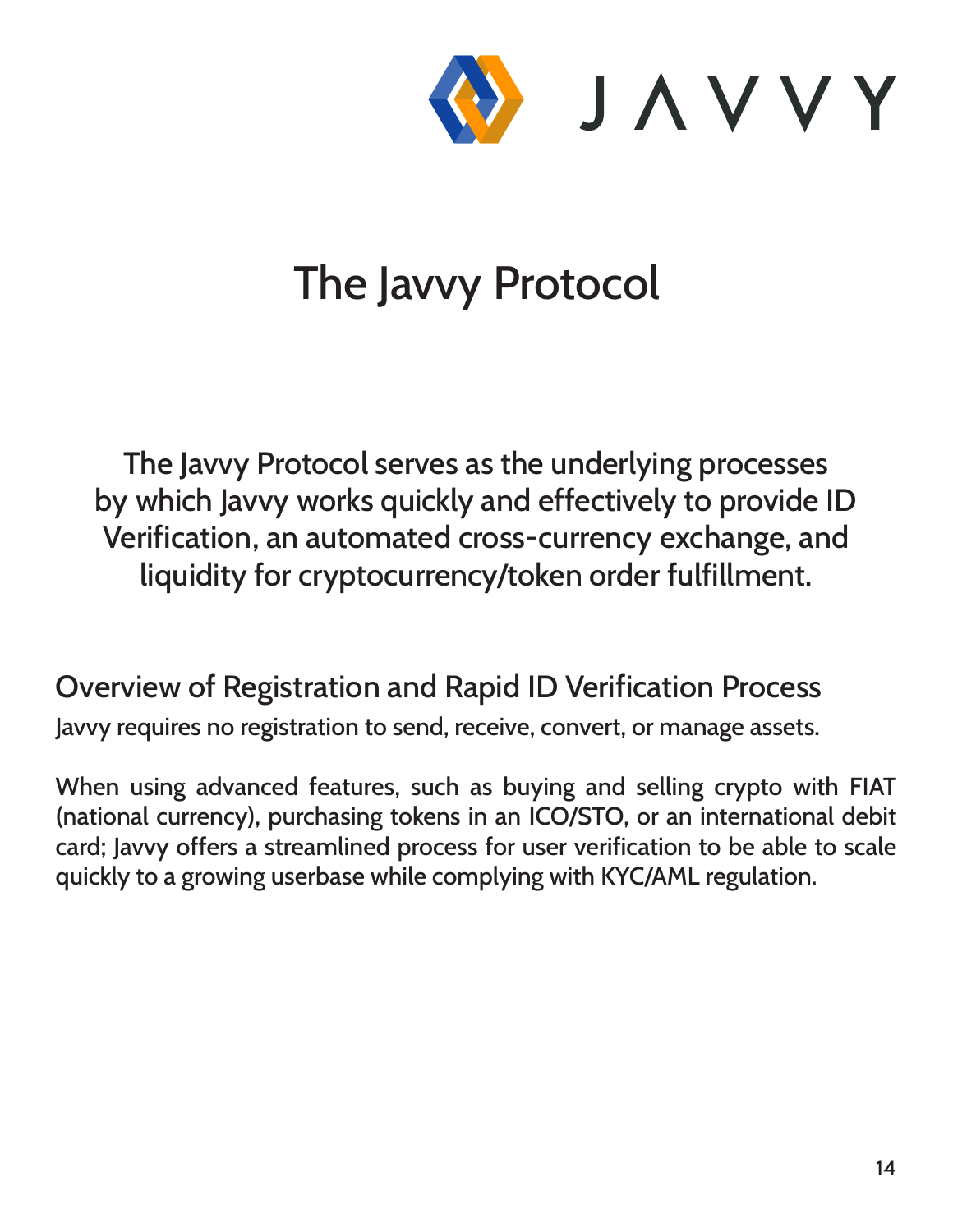

## The Javvy Protocol

The Javvy Protocol serves as the underlying processes by which Javvy works quickly and effectively to provide ID Verification, an automated cross-currency exchange, and liquidity for cryptocurrency/token order fulfillment.

#### Overview of Registration and Rapid ID Verification Process

Javvy requires no registration to send, receive, convert, or manage assets.

When using advanced features, such as buying and selling crypto with FIAT (national currency), purchasing tokens in an ICO/STO, or an international debit card; Javvy offers a streamlined process for user verification to be able to scale quickly to a growing userbase while complying with KYC/AML regulation.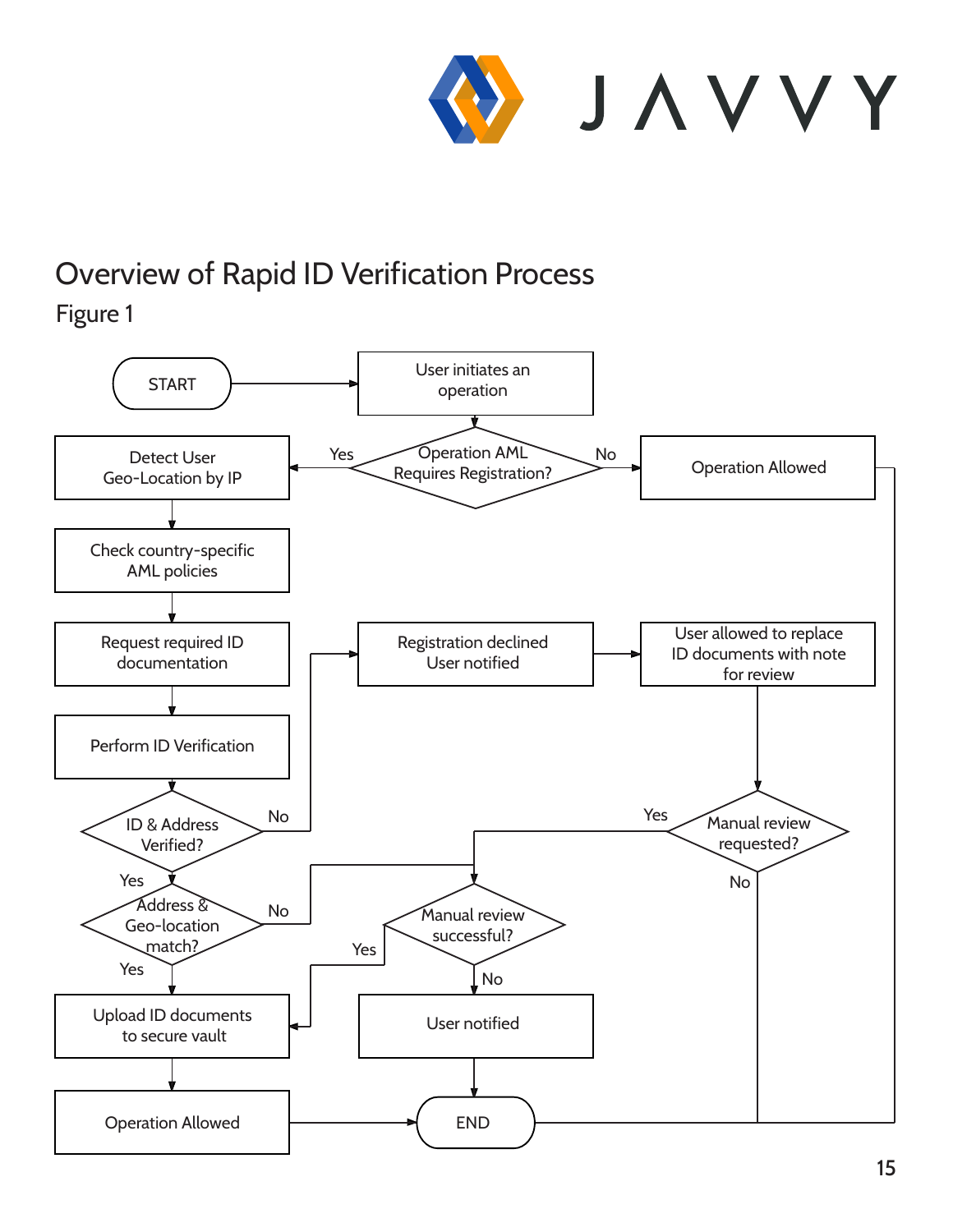

## Overview of Rapid ID Verification Process

Figure 1

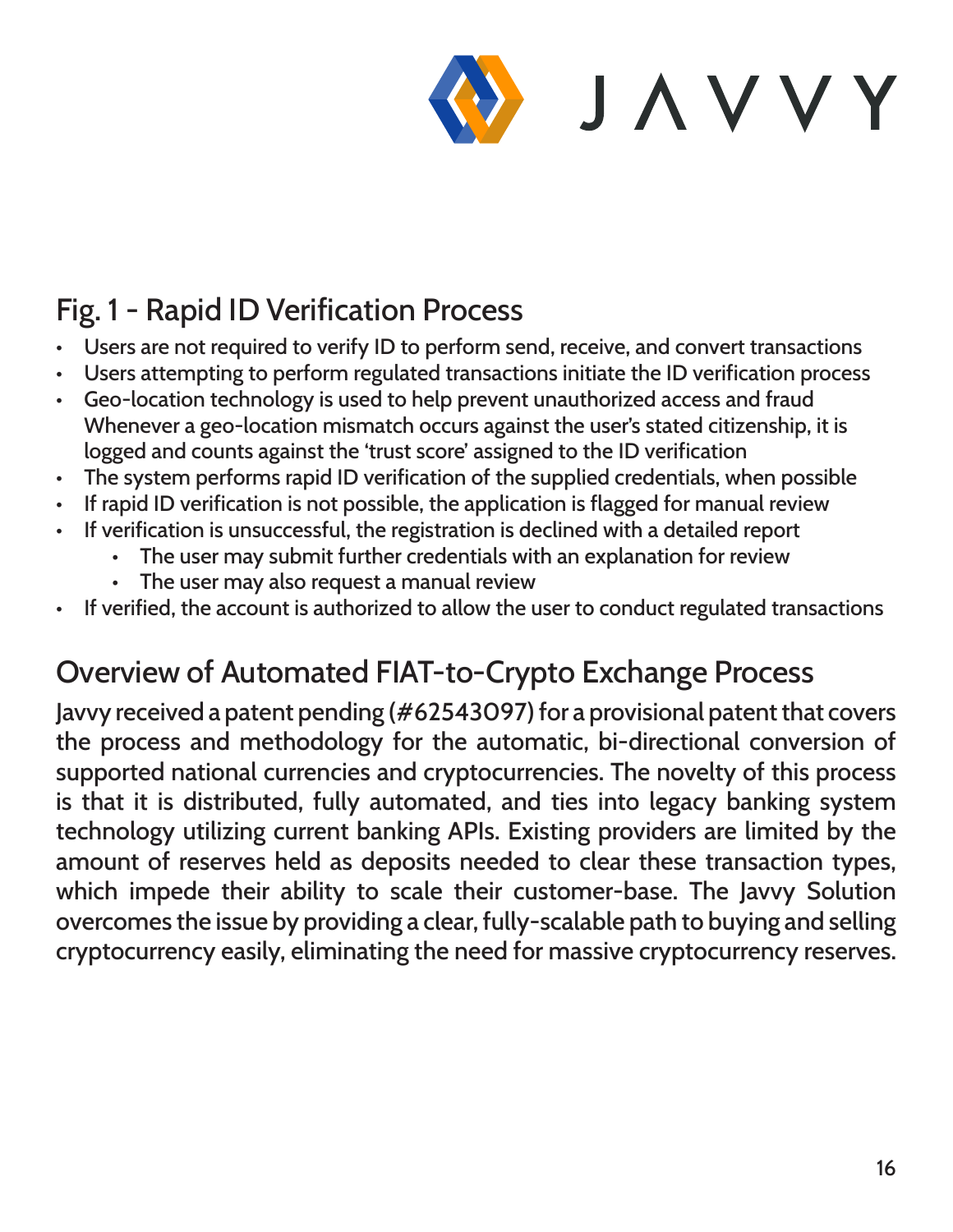![](_page_15_Picture_0.jpeg)

#### Fig. 1 - Rapid ID Verification Process

- Users are not required to verify ID to perform send, receive, and convert transactions
- Users attempting to perform regulated transactions initiate the ID verification process
- Geo-location technology is used to help prevent unauthorized access and fraud Whenever a geo-location mismatch occurs against the user's stated citizenship, it is logged and counts against the 'trust score' assigned to the ID verification
- The system performs rapid ID verification of the supplied credentials, when possible
- If rapid ID verification is not possible, the application is flagged for manual review
- If verification is unsuccessful, the registration is declined with a detailed report
	- The user may submit further credentials with an explanation for review
		- The user may also request a manual review
- If verified, the account is authorized to allow the user to conduct regulated transactions

#### Overview of Automated FIAT-to-Crypto Exchange Process

Javvy received a patent pending (#62543097) for a provisional patent that covers the process and methodology for the automatic, bi-directional conversion of supported national currencies and cryptocurrencies. The novelty of this process is that it is distributed, fully automated, and ties into legacy banking system technology utilizing current banking APIs. Existing providers are limited by the amount of reserves held as deposits needed to clear these transaction types, which impede their ability to scale their customer-base. The Javvy Solution overcomes the issue by providing a clear, fully-scalable path to buying and selling cryptocurrency easily, eliminating the need for massive cryptocurrency reserves.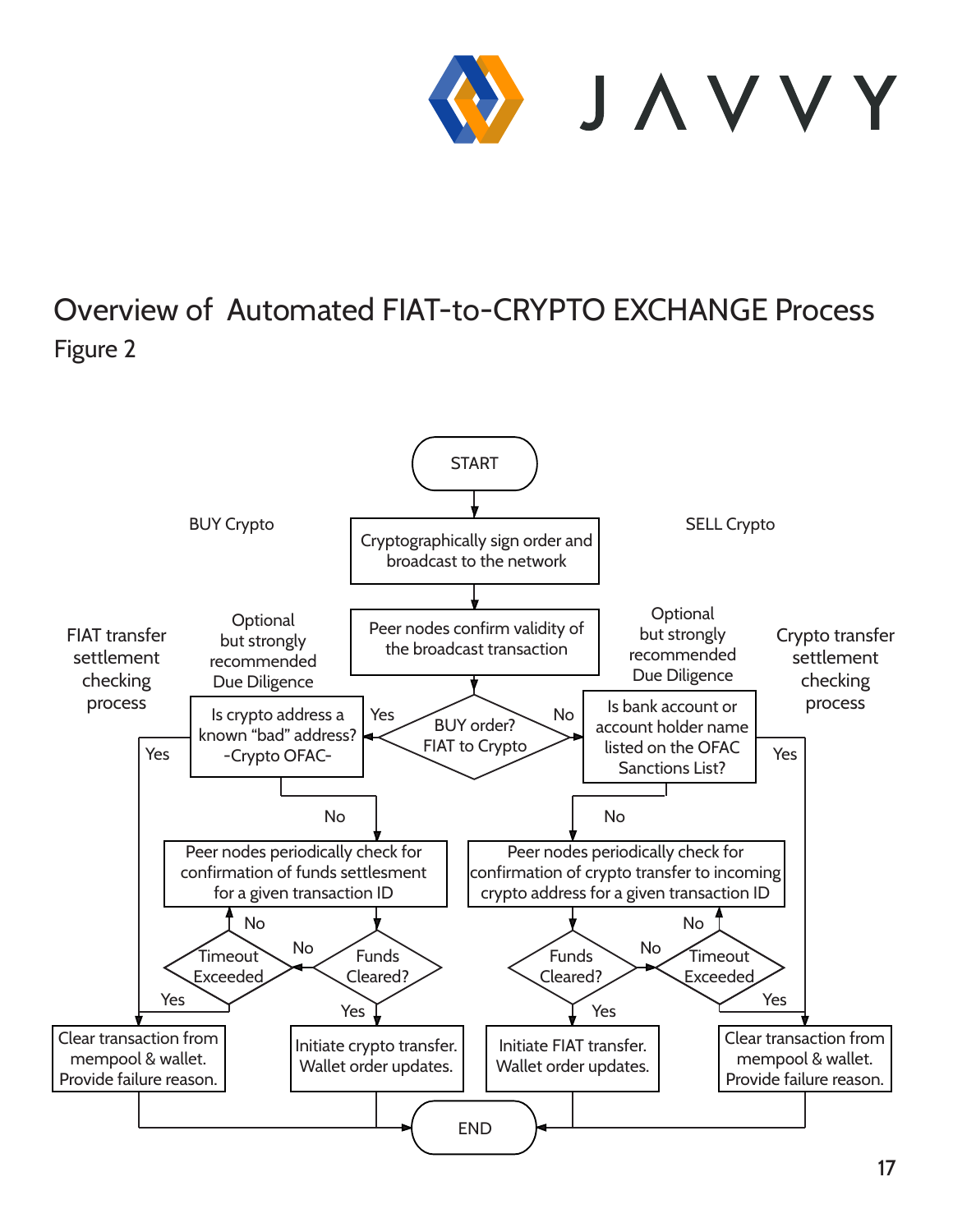![](_page_16_Picture_0.jpeg)

#### Overview of Automated FIAT-to-CRYPTO EXCHANGE Process Figure 2

![](_page_16_Figure_2.jpeg)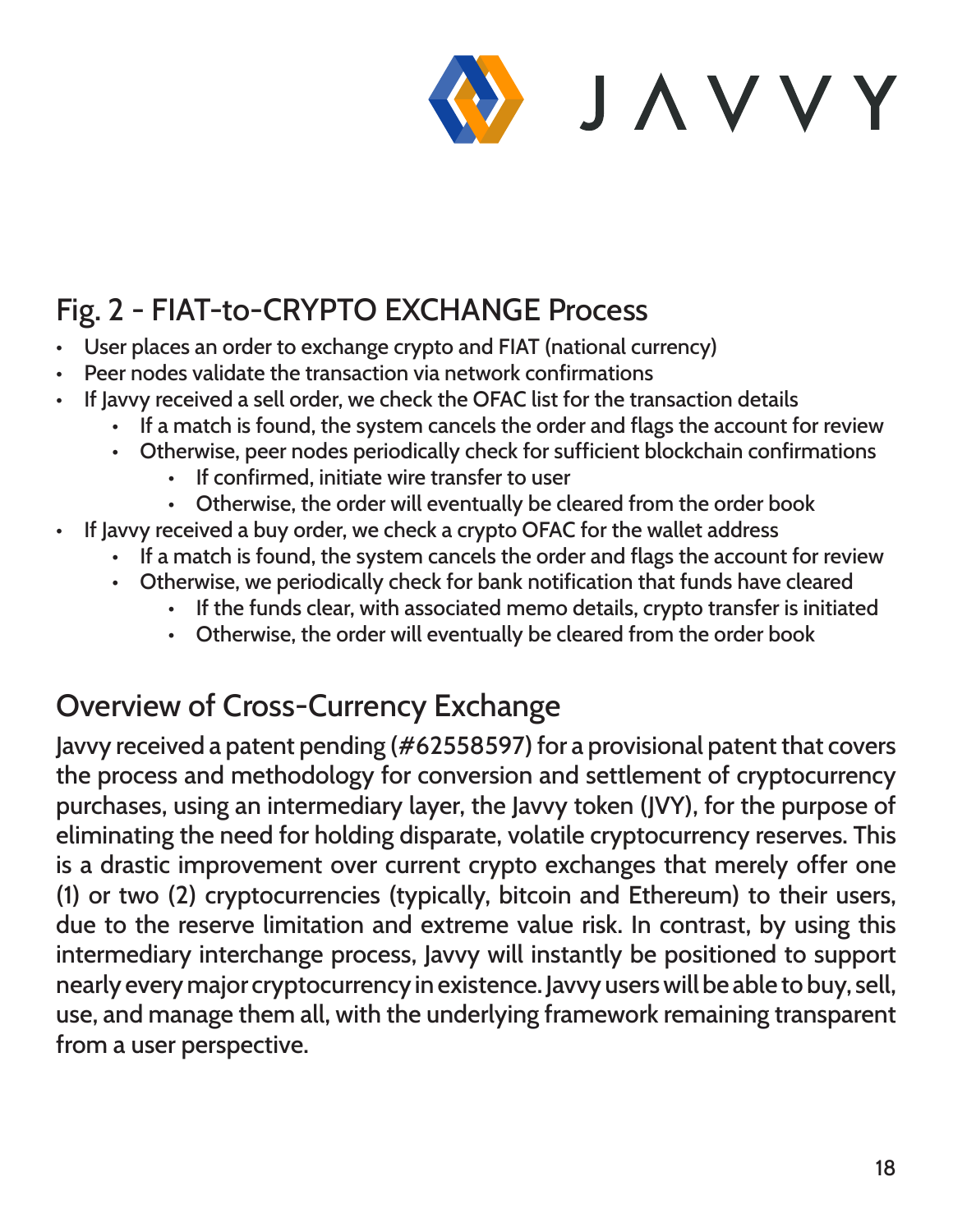![](_page_17_Picture_0.jpeg)

## Fig. 2 - FIAT-to-CRYPTO EXCHANGE Process

- User places an order to exchange crypto and FIAT (national currency)
- Peer nodes validate the transaction via network confirmations
- If Javvy received a sell order, we check the OFAC list for the transaction details
	- If a match is found, the system cancels the order and flags the account for review
	- Otherwise, peer nodes periodically check for sufficient blockchain confirmations
		- If confirmed, initiate wire transfer to user
		- Otherwise, the order will eventually be cleared from the order book
- If Javvy received a buy order, we check a crypto OFAC for the wallet address
	- If a match is found, the system cancels the order and flags the account for review
	- Otherwise, we periodically check for bank notification that funds have cleared
		- If the funds clear, with associated memo details, crypto transfer is initiated
		- Otherwise, the order will eventually be cleared from the order book

#### Overview of Cross-Currency Exchange

Javvy received a patent pending (#62558597) for a provisional patent that covers the process and methodology for conversion and settlement of cryptocurrency purchases, using an intermediary layer, the Javvy token (JVY), for the purpose of eliminating the need for holding disparate, volatile cryptocurrency reserves. This is a drastic improvement over current crypto exchanges that merely offer one (1) or two (2) cryptocurrencies (typically, bitcoin and Ethereum) to their users, due to the reserve limitation and extreme value risk. In contrast, by using this intermediary interchange process, Javvy will instantly be positioned to support nearly every major cryptocurrency in existence. Javvy users will be able to buy, sell, use, and manage them all, with the underlying framework remaining transparent from a user perspective.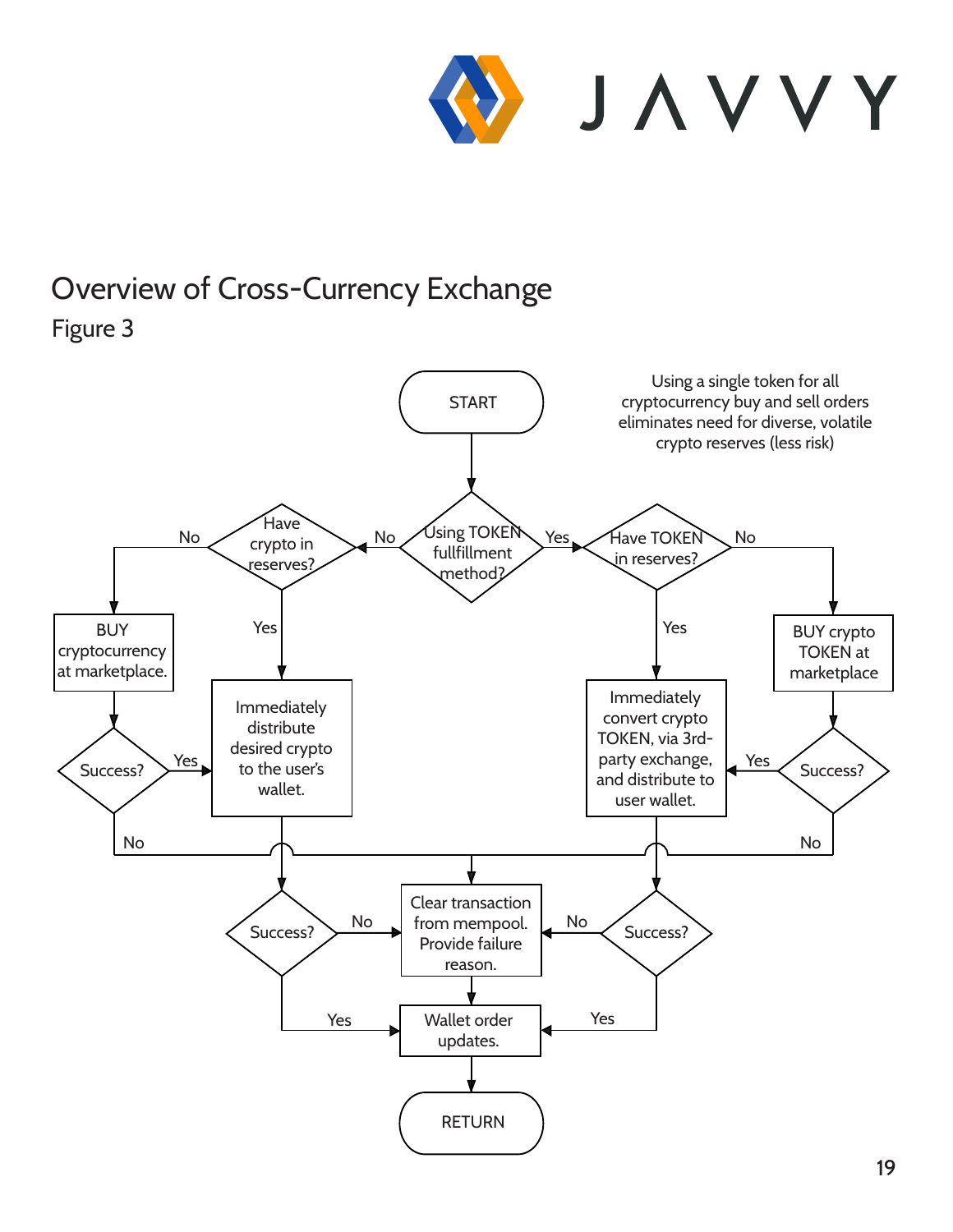![](_page_18_Picture_0.jpeg)

Using a single token for all

## Overview of Cross-Currency Exchange

![](_page_18_Figure_2.jpeg)

![](_page_18_Figure_3.jpeg)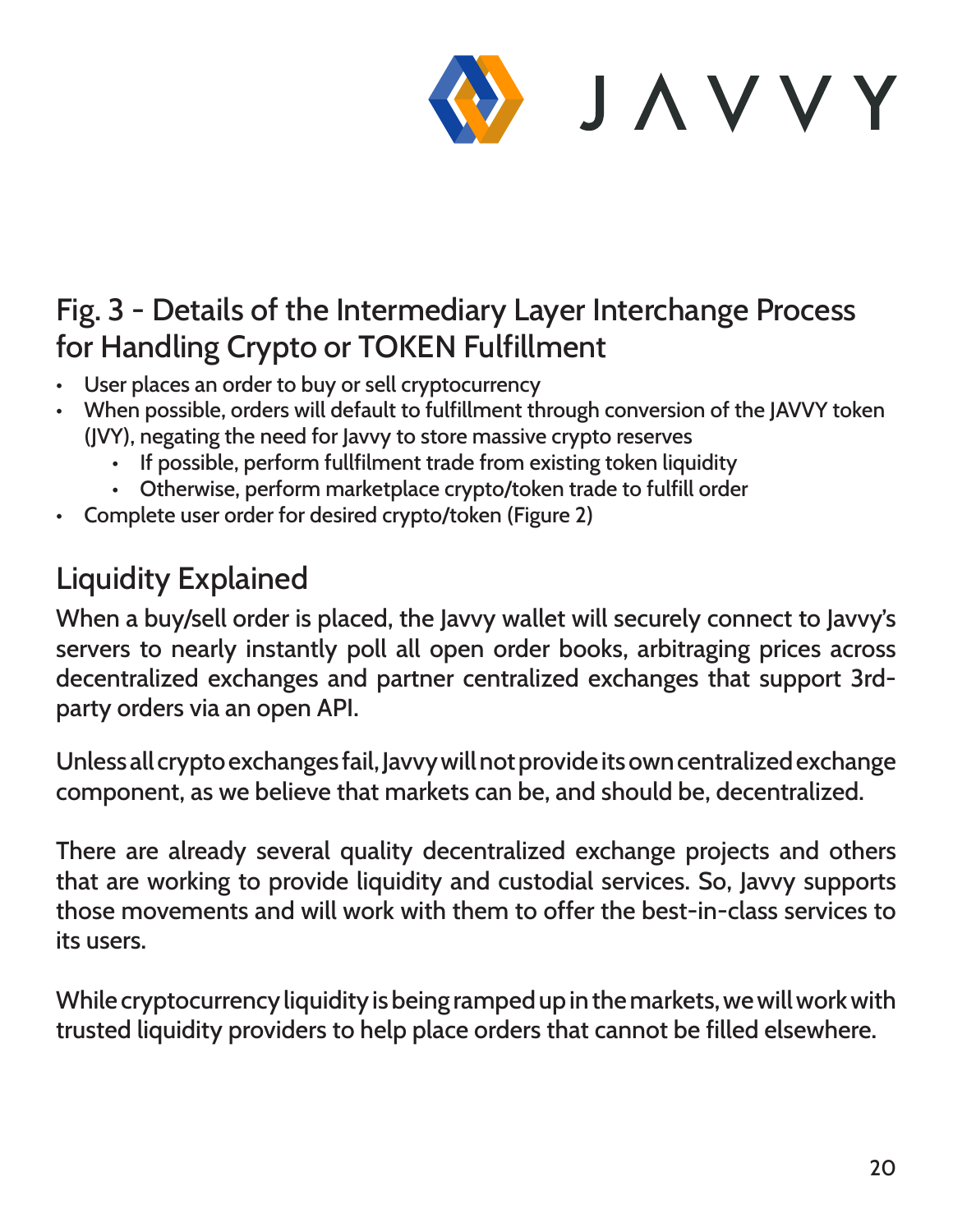![](_page_19_Picture_0.jpeg)

#### Fig. 3 - Details of the Intermediary Layer Interchange Process for Handling Crypto or TOKEN Fulfillment

- User places an order to buy or sell cryptocurrency
- When possible, orders will default to fulfillment through conversion of the JAVVY token (JVY), negating the need for Javvy to store massive crypto reserves
	- If possible, perform fullfilment trade from existing token liquidity
	- Otherwise, perform marketplace crypto/token trade to fulfill order
- Complete user order for desired crypto/token (Figure 2)

#### Liquidity Explained

When a buy/sell order is placed, the Javvy wallet will securely connect to Javvy's servers to nearly instantly poll all open order books, arbitraging prices across decentralized exchanges and partner centralized exchanges that support 3rdparty orders via an open API.

Unless all crypto exchanges fail, Javvy will not provide its own centralized exchange component, as we believe that markets can be, and should be, decentralized.

There are already several quality decentralized exchange projects and others that are working to provide liquidity and custodial services. So, Javvy supports those movements and will work with them to offer the best-in-class services to its users.

While cryptocurrency liquidity is being ramped up in the markets, we will work with trusted liquidity providers to help place orders that cannot be filled elsewhere.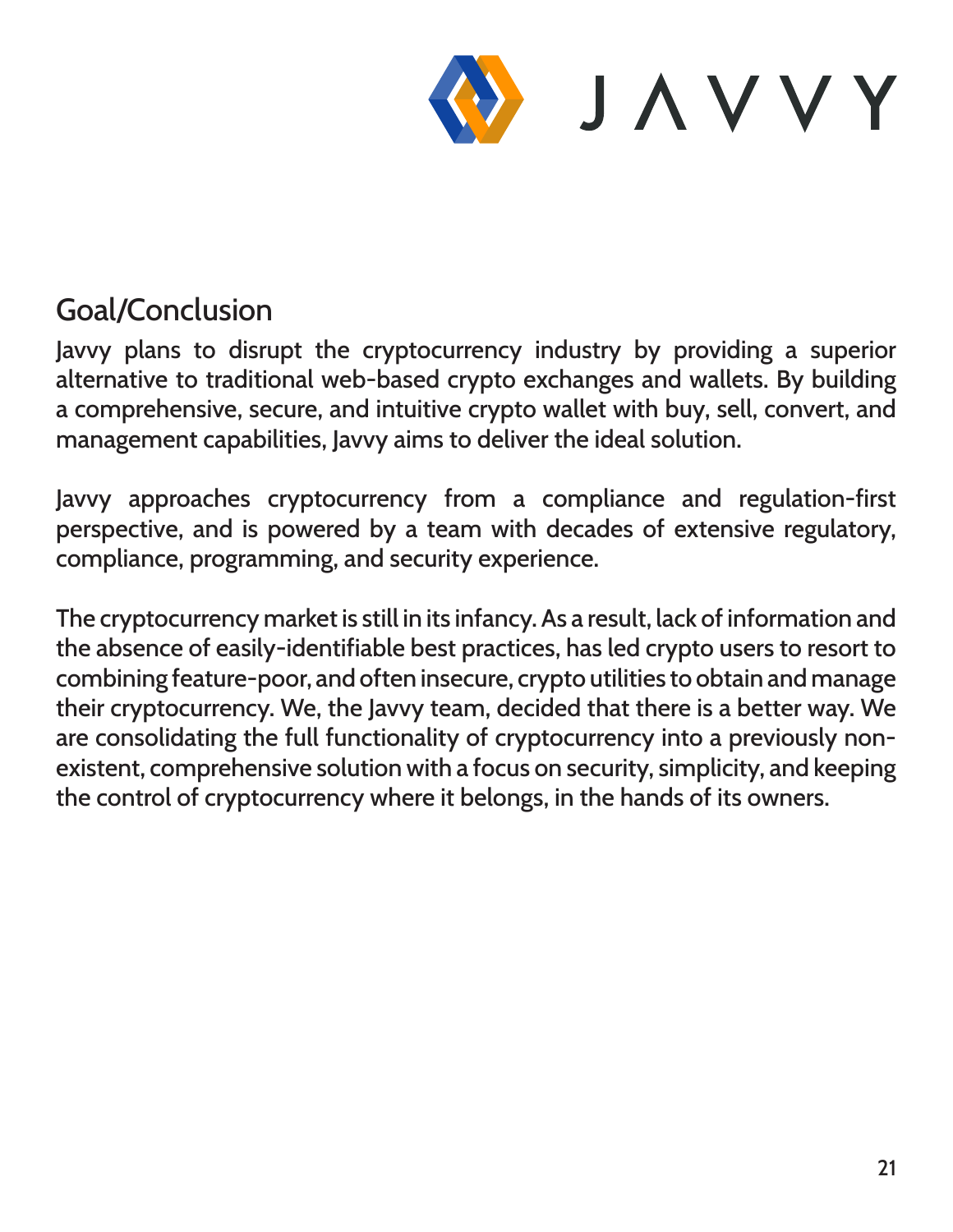![](_page_20_Picture_0.jpeg)

#### Goal/Conclusion

Javvy plans to disrupt the cryptocurrency industry by providing a superior alternative to traditional web-based crypto exchanges and wallets. By building a comprehensive, secure, and intuitive crypto wallet with buy, sell, convert, and management capabilities, Javvy aims to deliver the ideal solution.

Javvy approaches cryptocurrency from a compliance and regulation-first perspective, and is powered by a team with decades of extensive regulatory, compliance, programming, and security experience.

The cryptocurrency market is still in its infancy. As a result, lack of information and the absence of easily-identifiable best practices, has led crypto users to resort to combining feature-poor, and often insecure, crypto utilities to obtain and manage their cryptocurrency. We, the Javvy team, decided that there is a better way. We are consolidating the full functionality of cryptocurrency into a previously nonexistent, comprehensive solution with a focus on security, simplicity, and keeping the control of cryptocurrency where it belongs, in the hands of its owners.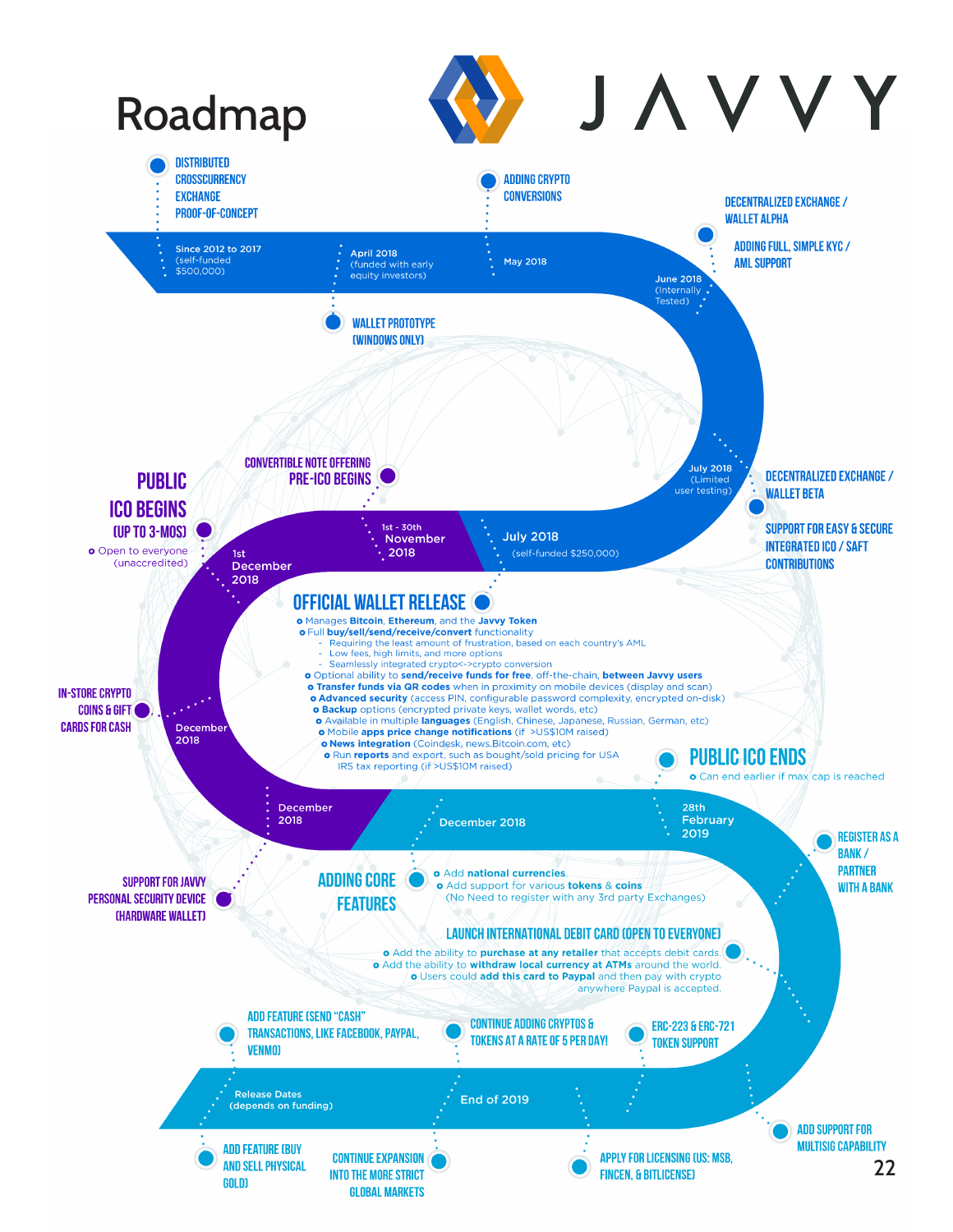![](_page_21_Figure_0.jpeg)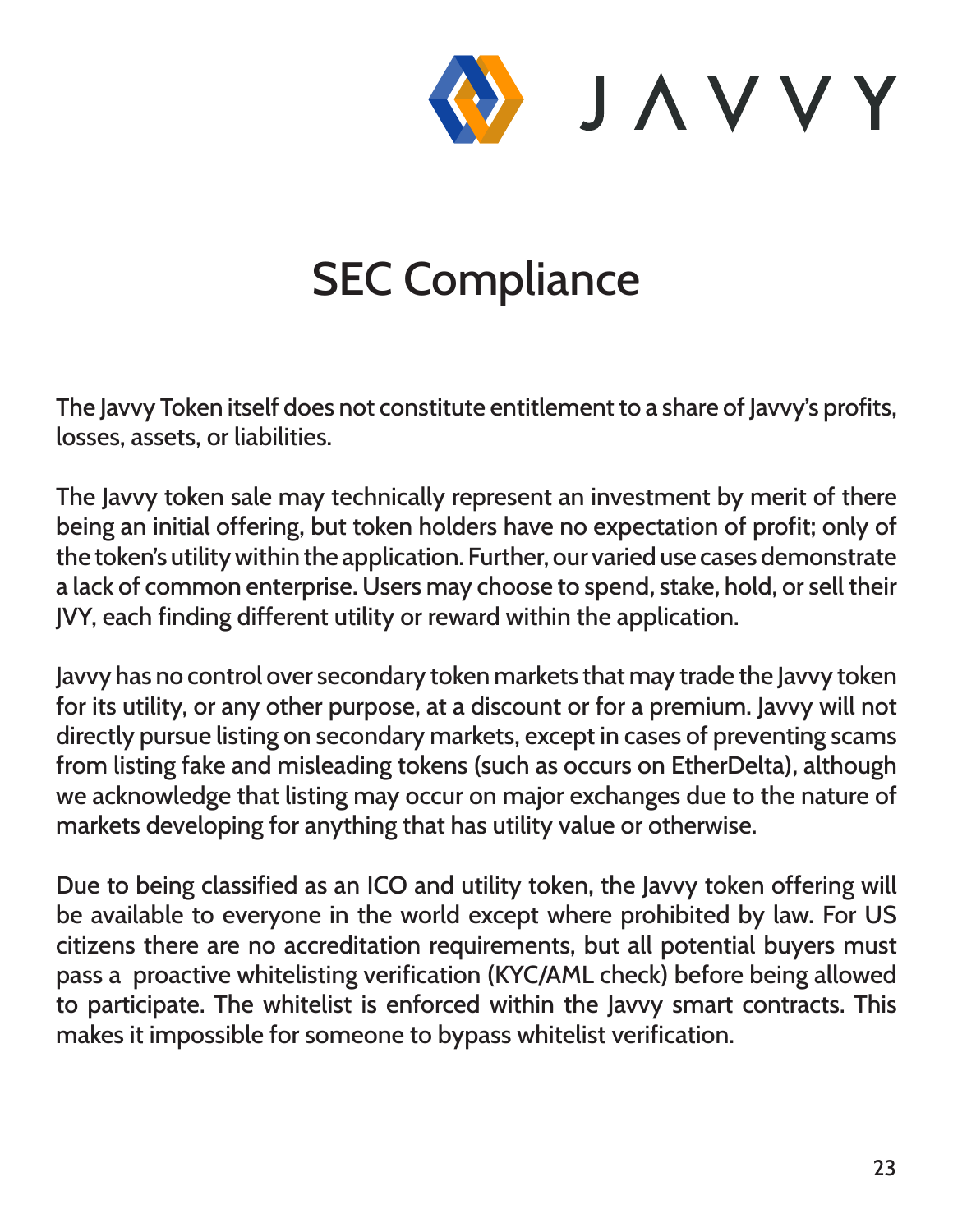![](_page_22_Picture_0.jpeg)

# SEC Compliance

The Javvy Token itself does not constitute entitlement to a share of Javvy's profits, losses, assets, or liabilities.

The Javvy token sale may technically represent an investment by merit of there being an initial offering, but token holders have no expectation of profit; only of the token's utility within the application. Further, our varied use cases demonstrate a lack of common enterprise. Users may choose to spend, stake, hold, or sell their JVY, each finding different utility or reward within the application.

Javvy has no control over secondary token markets that may trade the Javvy token for its utility, or any other purpose, at a discount or for a premium. Javvy will not directly pursue listing on secondary markets, except in cases of preventing scams from listing fake and misleading tokens (such as occurs on EtherDelta), although we acknowledge that listing may occur on major exchanges due to the nature of markets developing for anything that has utility value or otherwise.

Due to being classified as an ICO and utility token, the Javvy token offering will be available to everyone in the world except where prohibited by law. For US citizens there are no accreditation requirements, but all potential buyers must pass a proactive whitelisting verification (KYC/AML check) before being allowed to participate. The whitelist is enforced within the Javvy smart contracts. This makes it impossible for someone to bypass whitelist verification.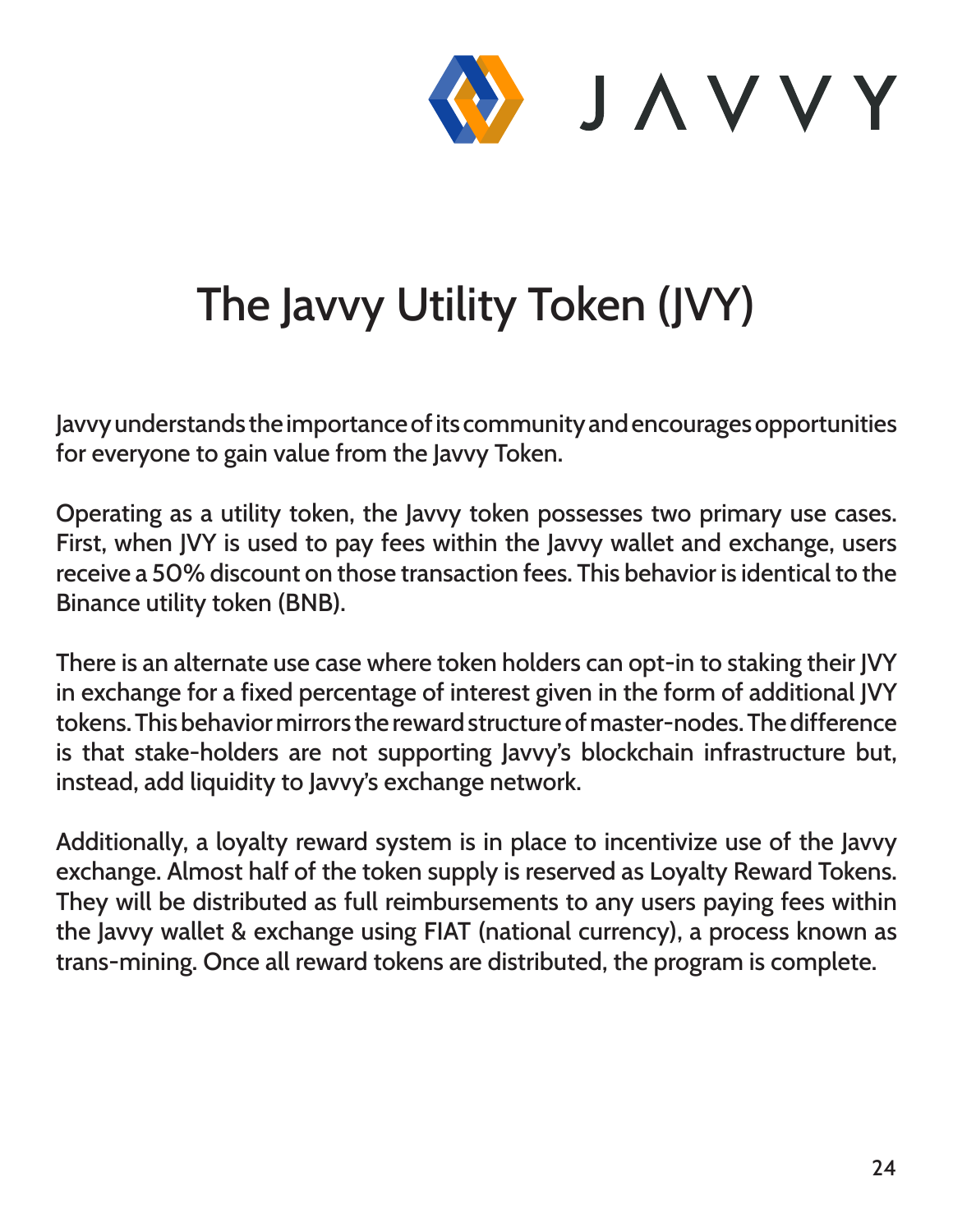![](_page_23_Picture_0.jpeg)

# The Javvy Utility Token (JVY)

Javvy understands the importance of its community and encourages opportunities for everyone to gain value from the Javvy Token.

Operating as a utility token, the Javvy token possesses two primary use cases. First, when JVY is used to pay fees within the Javvy wallet and exchange, users receive a 50% discount on those transaction fees. This behavior is identical to the Binance utility token (BNB).

There is an alternate use case where token holders can opt-in to staking their JVY in exchange for a fixed percentage of interest given in the form of additional JVY tokens. This behavior mirrors the reward structure of master-nodes. The difference is that stake-holders are not supporting Javvy's blockchain infrastructure but, instead, add liquidity to Javvy's exchange network.

Additionally, a loyalty reward system is in place to incentivize use of the Javvy exchange. Almost half of the token supply is reserved as Loyalty Reward Tokens. They will be distributed as full reimbursements to any users paying fees within the Javvy wallet & exchange using FIAT (national currency), a process known as trans-mining. Once all reward tokens are distributed, the program is complete.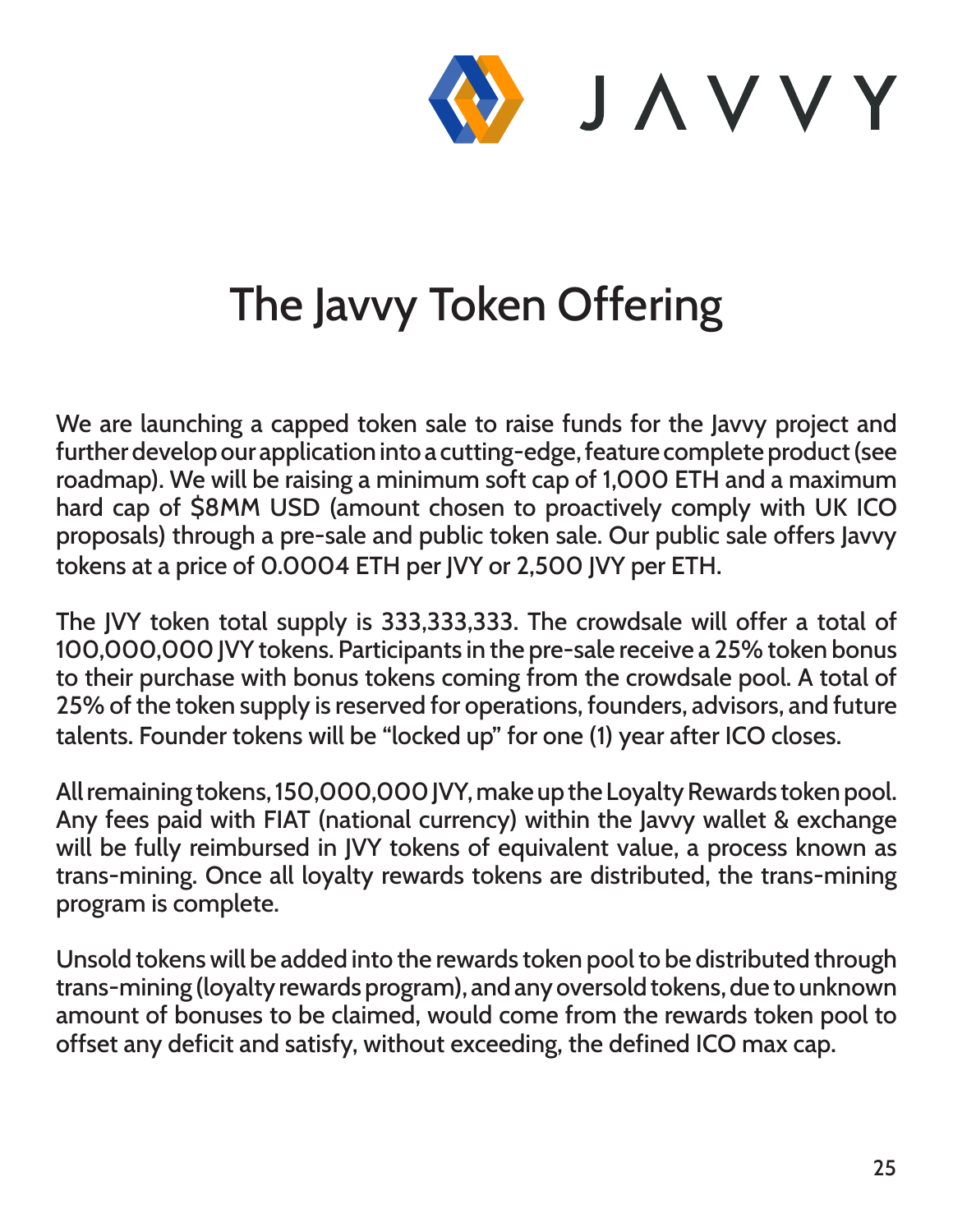![](_page_24_Picture_0.jpeg)

## The Javvy Token Offering

We are launching a capped token sale to raise funds for the Javvy project and further develop our application into a cutting-edge, feature complete product (see roadmap). We will be raising a minimum soft cap of 1,000 ETH and a maximum hard cap of \$8MM USD (amount chosen to proactively comply with UK ICO proposals) through a pre-sale and public token sale. Our public sale offers Javvy tokens at a price of 0.0004 ETH per JVY or 2,500 JVY per ETH.

The JVY token total supply is 333,333,333. The crowdsale will offer a total of 100,000,000 JVY tokens. Participants in the pre-sale receive a 25% token bonus to their purchase with bonus tokens coming from the crowdsale pool. A total of 25% of the token supply is reserved for operations, founders, advisors, and future talents. Founder tokens will be "locked up" for one (1) year after ICO closes.

All remaining tokens, 150,000,000 JVY, make up the Loyalty Rewards token pool. Any fees paid with FIAT (national currency) within the Javvy wallet & exchange will be fully reimbursed in JVY tokens of equivalent value, a process known as trans-mining. Once all loyalty rewards tokens are distributed, the trans-mining program is complete.

Unsold tokens will be added into the rewards token pool to be distributed through trans-mining (loyalty rewards program), and any oversold tokens, due to unknown amount of bonuses to be claimed, would come from the rewards token pool to offset any deficit and satisfy, without exceeding, the defined ICO max cap.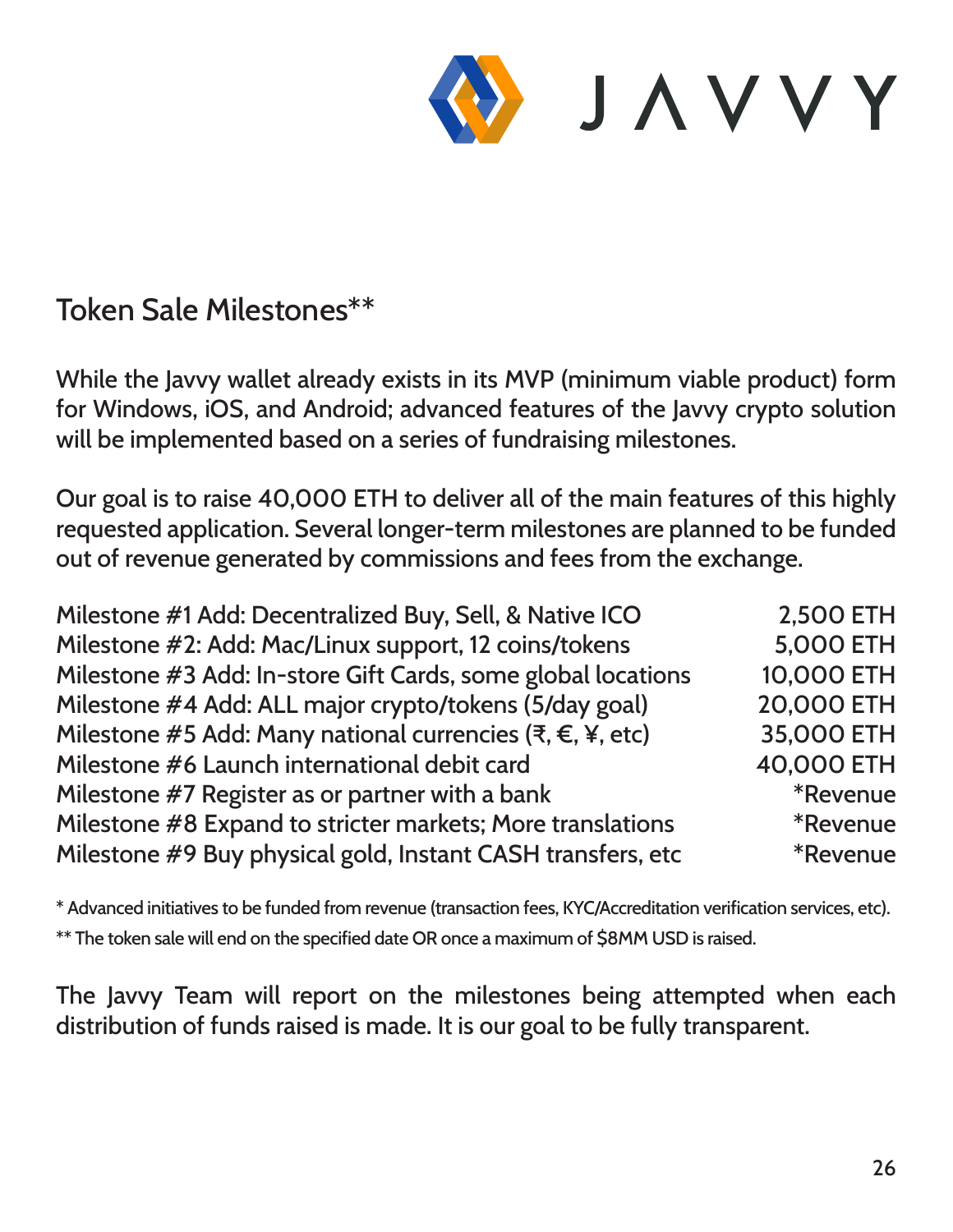![](_page_25_Picture_0.jpeg)

#### Token Sale Milestones\*\*

While the Javvy wallet already exists in its MVP (minimum viable product) form for Windows, iOS, and Android; advanced features of the Javvy crypto solution will be implemented based on a series of fundraising milestones.

Our goal is to raise 40,000 ETH to deliver all of the main features of this highly requested application. Several longer-term milestones are planned to be funded out of revenue generated by commissions and fees from the exchange.

| Milestone #1 Add: Decentralized Buy, Sell, & Native ICO      | 2,500 ETH              |
|--------------------------------------------------------------|------------------------|
| Milestone #2: Add: Mac/Linux support, 12 coins/tokens        | <b>5,000 ETH</b>       |
| Milestone #3 Add: In-store Gift Cards, some global locations | 10,000 ETH             |
| Milestone #4 Add: ALL major crypto/tokens (5/day goal)       | 20,000 ETH             |
| Milestone #5 Add: Many national currencies (₹, €, ¥, etc)    | 35,000 ETH             |
| Milestone #6 Launch international debit card                 | 40,000 ETH             |
| Milestone #7 Register as or partner with a bank              | <i><b>*Revenue</b></i> |
| Milestone #8 Expand to stricter markets; More translations   | <i><b>*Revenue</b></i> |
| Milestone #9 Buy physical gold, Instant CASH transfers, etc  | <i><b>*Revenue</b></i> |

\* Advanced initiatives to be funded from revenue (transaction fees, KYC/Accreditation verification services, etc). \*\* The token sale will end on the specified date OR once a maximum of \$8MM USD is raised.

The Javvy Team will report on the milestones being attempted when each distribution of funds raised is made. It is our goal to be fully transparent.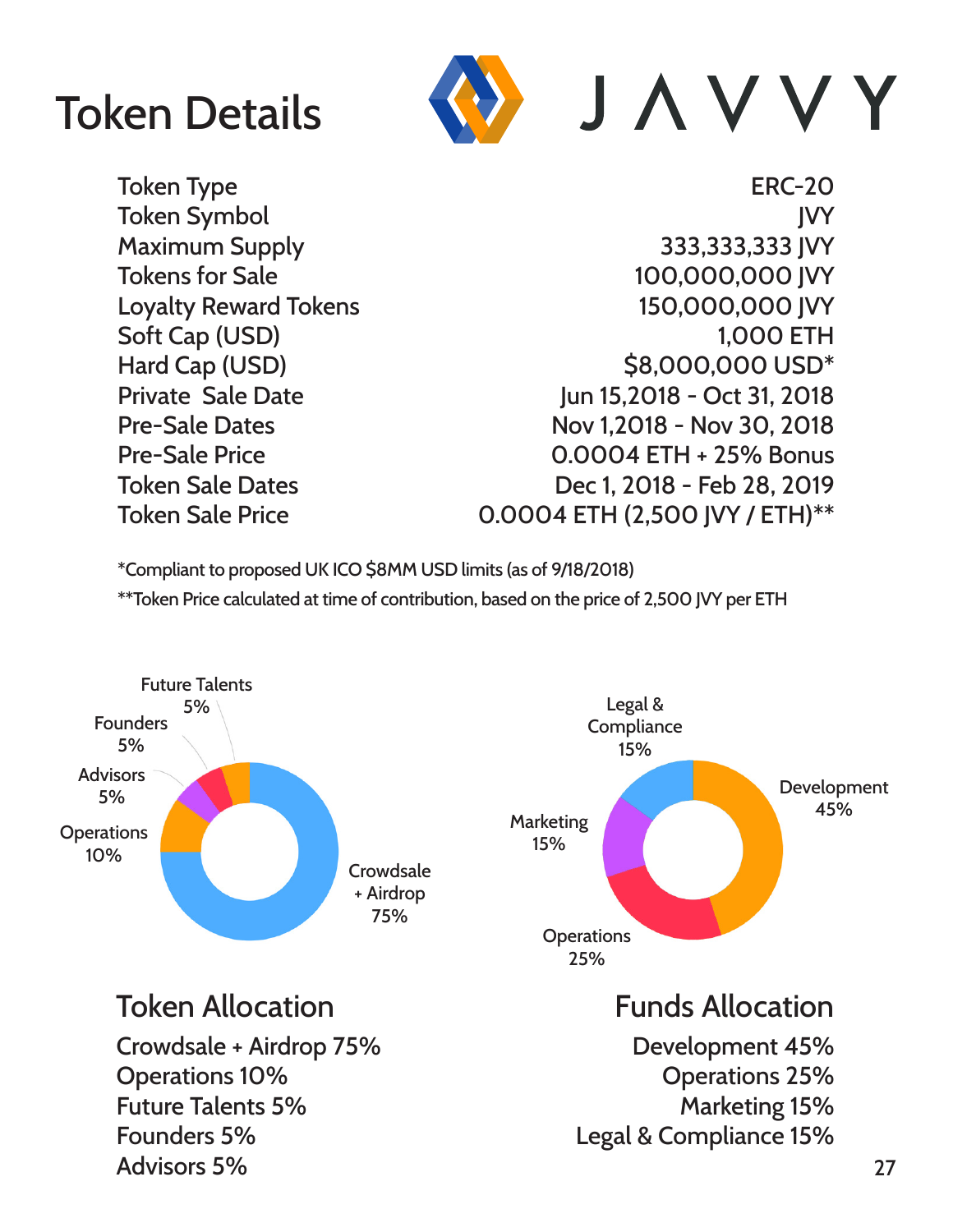## Token Details

![](_page_26_Picture_1.jpeg)

Token Type **ERC-20** Token Symbol JVY Maximum Supply 333,333,333 JVY Tokens for Sale 100,000,000 JVY Loyalty Reward Tokens 150,000,000 JVY Soft Cap (USD) 3,000 ETH Hard Cap (USD)  $$8,000,000$  USD<sup>\*</sup> Private Sale Date **Jun 15,2018 - Oct 31, 2018** Pre-Sale Dates Nov 1,2018 - Nov 30, 2018 Pre-Sale Price 0.0004 ETH + 25% Bonus Token Sale Dates Dec 1, 2018 - Feb 28, 2019 Token Sale Price 0.0004 ETH (2,500 JVY / ETH)\*\*

\*Compliant to proposed UK ICO \$8MM USD limits (as of 9/18/2018)

\*\*Token Price calculated at time of contribution, based on the price of 2,500 JVY per ETH

![](_page_26_Figure_6.jpeg)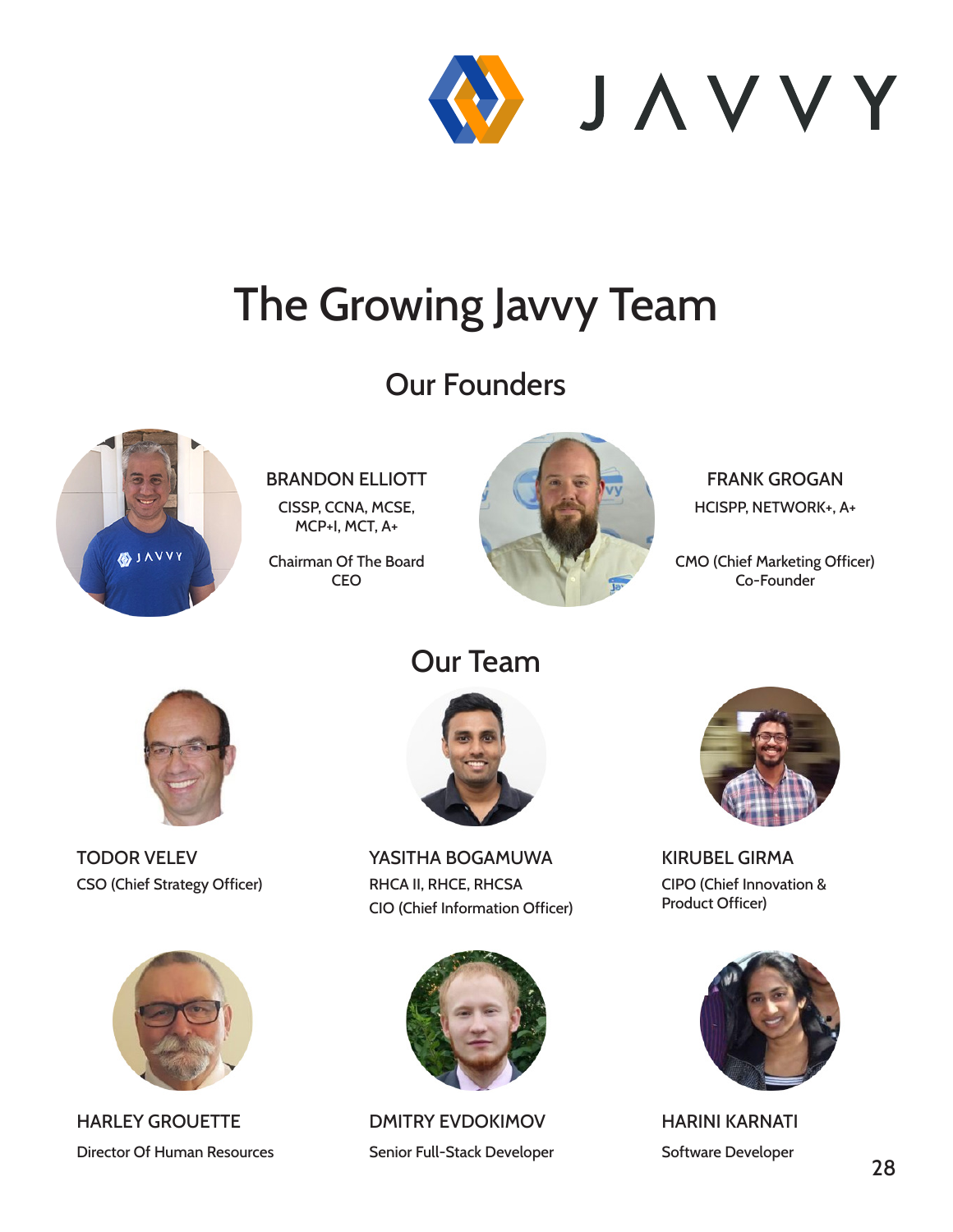![](_page_27_Picture_0.jpeg)

## The Growing Javvy Team

#### Our Founders

![](_page_27_Picture_3.jpeg)

BRANDON ELLIOTT

CISSP, CCNA, MCSE, MCP+I, MCT, A+

Chairman Of The Board **CEO** 

![](_page_27_Picture_7.jpeg)

FRANK GROGAN HCISPP, NETWORK+, A+

CMO (Chief Marketing Officer) Co-Founder

![](_page_27_Picture_10.jpeg)

TODOR VELEV CSO (Chief Strategy Officer)

![](_page_27_Picture_12.jpeg)

HARLEY GROUETTE Director Of Human Resources

#### Our Team

![](_page_27_Picture_15.jpeg)

YASITHA BOGAMUWA RHCA II, RHCE, RHCSA CIO (Chief Information Officer)

![](_page_27_Picture_17.jpeg)

DMITRY EVDOKIMOV Senior Full-Stack Developer

![](_page_27_Picture_19.jpeg)

KIRUBEL GIRMA CIPO (Chief Innovation & Product Officer)

![](_page_27_Picture_21.jpeg)

HARINI KARNATI Software Developer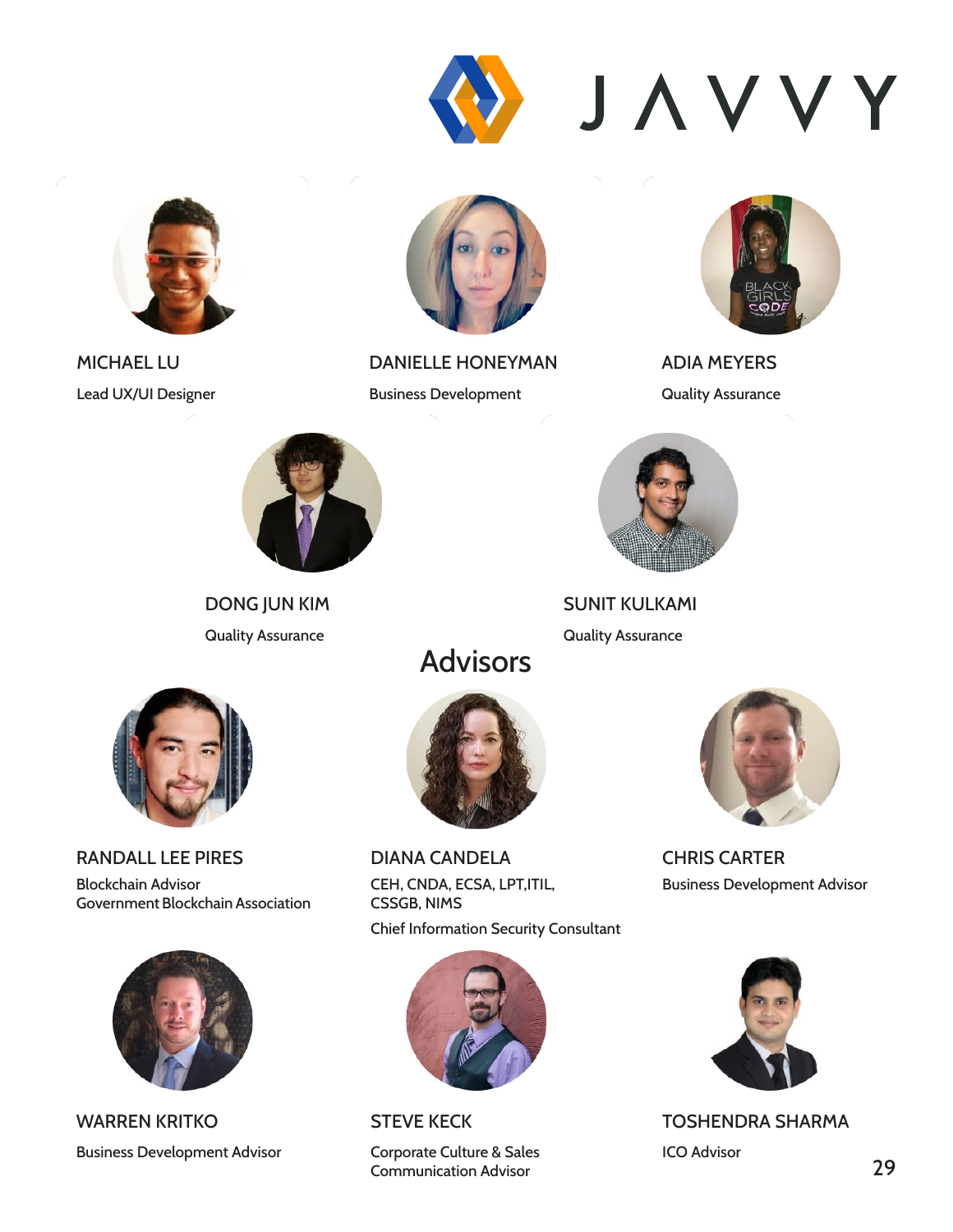![](_page_28_Picture_0.jpeg)

![](_page_28_Picture_1.jpeg)

MICHAEL LU Lead UX/UI Designer

![](_page_28_Picture_3.jpeg)

DANIELLE HONEYMAN Business Development

![](_page_28_Picture_5.jpeg)

ADIA MEYERS Quality Assurance

![](_page_28_Picture_7.jpeg)

DONG JUN KIM Quality Assurance

![](_page_28_Picture_9.jpeg)

SUNIT KULKAMI Quality Assurance

![](_page_28_Picture_11.jpeg)

![](_page_28_Picture_12.jpeg)

RANDALL LEE PIRES

Blockchain Advisor Government Blockchain Association

![](_page_28_Picture_15.jpeg)

WARREN KRITKO Business Development Advisor

![](_page_28_Picture_17.jpeg)

DIANA CANDELA CEH, CNDA, ECSA, LPT,ITIL, CSSGB, NIMS Chief Information Security Consultant

![](_page_28_Picture_19.jpeg)

STEVE KECK

Corporate Culture & Sales Communication Advisor

![](_page_28_Picture_22.jpeg)

CHRIS CARTER Business Development Advisor

![](_page_28_Picture_24.jpeg)

TOSHENDRA SHARMA ICO Advisor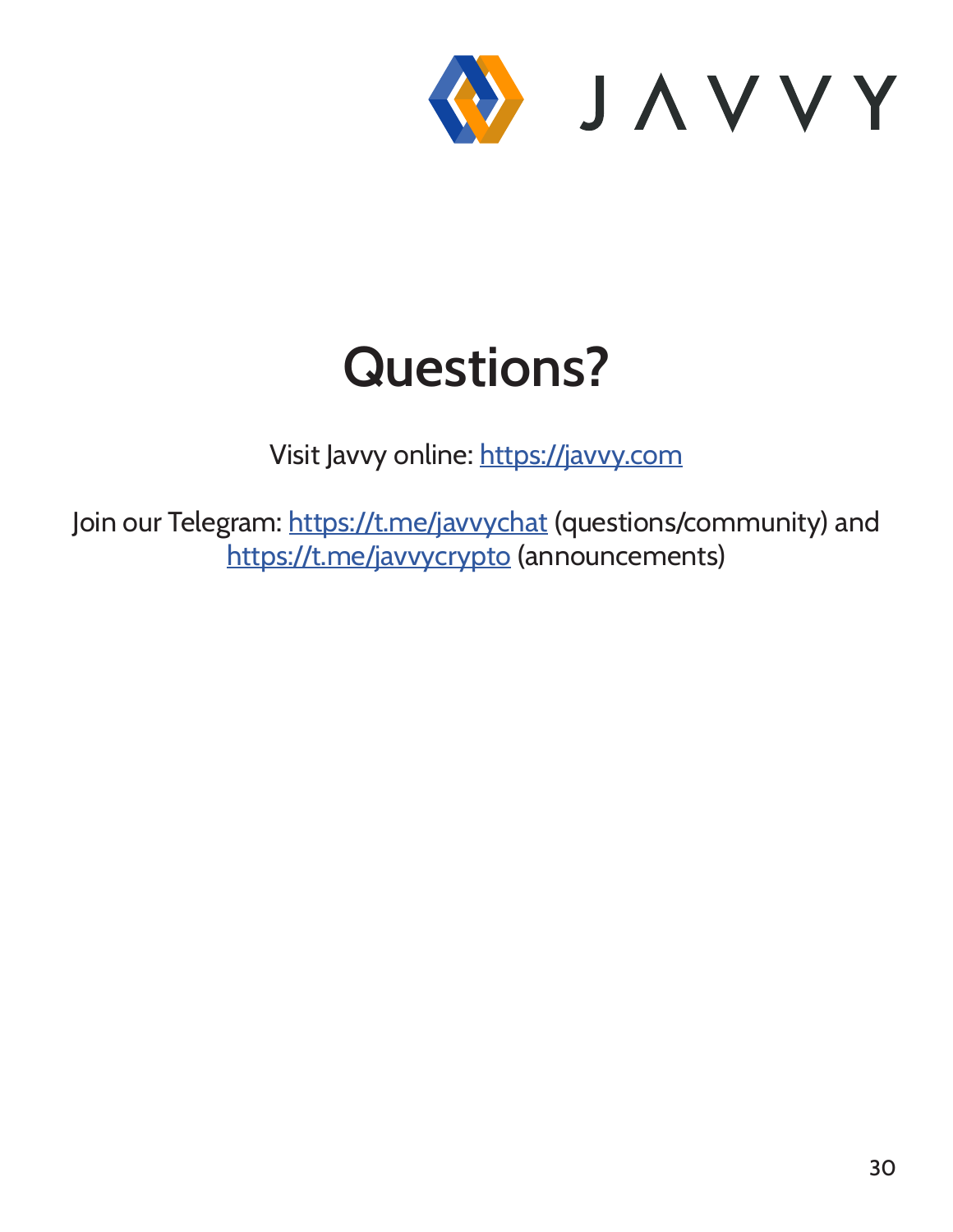![](_page_29_Picture_0.jpeg)

# **Questions?**

Visit Javvy online: https://javvy.com

Join our Telegram: https://t.me/javvychat (questions/community) and https://t.me/javvycrypto (announcements)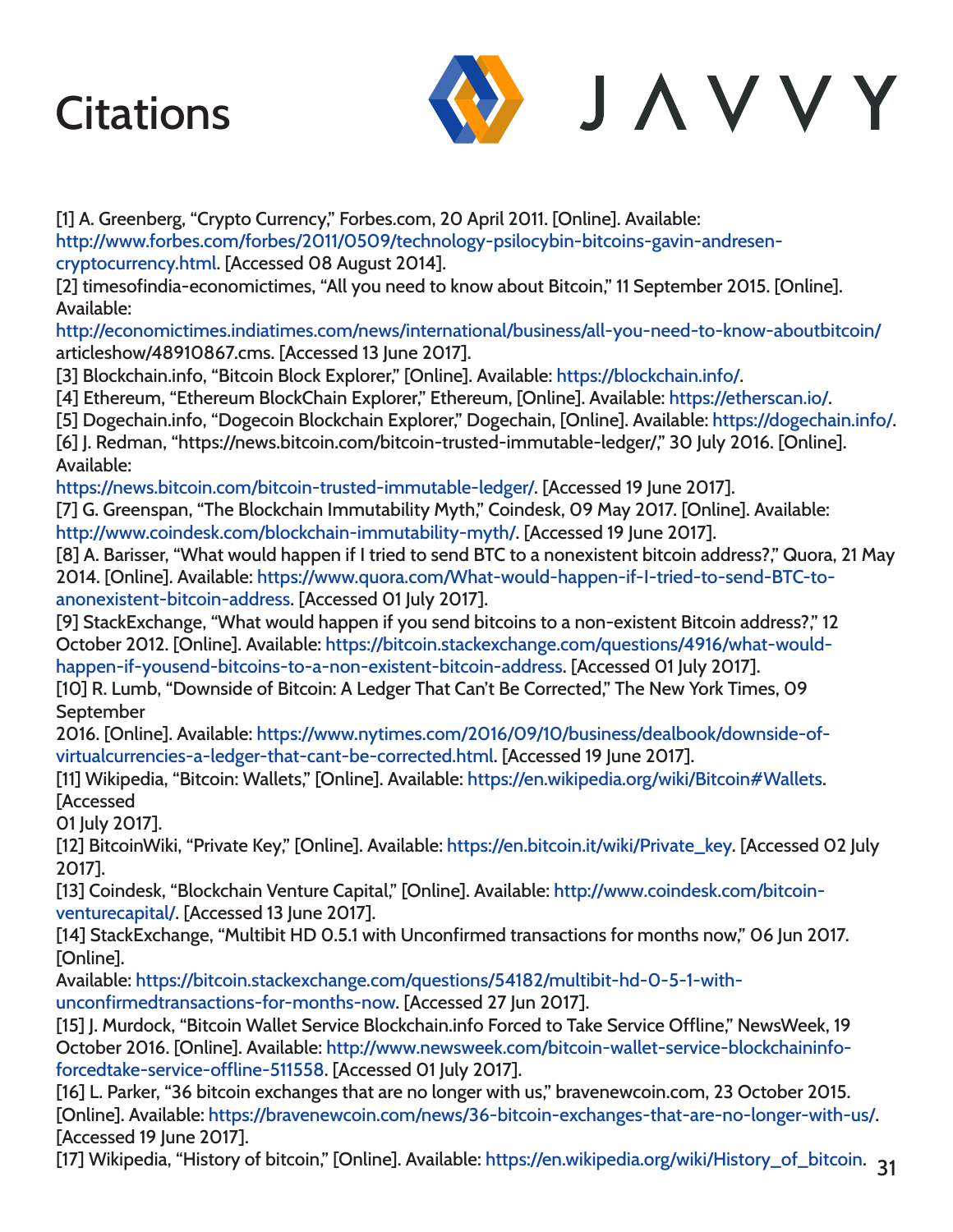![](_page_30_Picture_1.jpeg)

[1] A. Greenberg, "Crypto Currency," Forbes.com, 20 April 2011. [Online]. Available: http://www.forbes.com/forbes/2011/0509/technology-psilocybin-bitcoins-gavin-andresencryptocurrency.html. [Accessed 08 August 2014].

[2] timesofindia-economictimes, "All you need to know about Bitcoin," 11 September 2015. [Online]. Available:

http://economictimes.indiatimes.com/news/international/business/all-you-need-to-know-aboutbitcoin/ articleshow/48910867.cms. [Accessed 13 June 2017].

[3] Blockchain.info, "Bitcoin Block Explorer," [Online]. Available: https://blockchain.info/.

[4] Ethereum, "Ethereum BlockChain Explorer," Ethereum, [Online]. Available: https://etherscan.io/.

[5] Dogechain.info, "Dogecoin Blockchain Explorer," Dogechain, [Online]. Available: https://dogechain.info/.

[6] J. Redman, "https://news.bitcoin.com/bitcoin-trusted-immutable-ledger/," 30 July 2016. [Online]. Available:

https://news.bitcoin.com/bitcoin-trusted-immutable-ledger/. [Accessed 19 June 2017].

[7] G. Greenspan, "The Blockchain Immutability Myth," Coindesk, 09 May 2017. [Online]. Available:

http://www.coindesk.com/blockchain-immutability-myth/. [Accessed 19 June 2017].

[8] A. Barisser, "What would happen if I tried to send BTC to a nonexistent bitcoin address?," Quora, 21 May 2014. [Online]. Available: https://www.quora.com/What-would-happen-if-I-tried-to-send-BTC-toanonexistent-bitcoin-address. [Accessed 01 July 2017].

[9] StackExchange, "What would happen if you send bitcoins to a non-existent Bitcoin address?," 12 October 2012. [Online]. Available: https://bitcoin.stackexchange.com/questions/4916/what-wouldhappen-if-yousend-bitcoins-to-a-non-existent-bitcoin-address. [Accessed 01 July 2017].

[10] R. Lumb, "Downside of Bitcoin: A Ledger That Can't Be Corrected," The New York Times, 09 September

2016. [Online]. Available: https://www.nytimes.com/2016/09/10/business/dealbook/downside-ofvirtualcurrencies-a-ledger-that-cant-be-corrected.html. [Accessed 19 June 2017].

[11] Wikipedia, "Bitcoin: Wallets," [Online]. Available: https://en.wikipedia.org/wiki/Bitcoin#Wallets. [Accessed

01 July 2017].

[12] BitcoinWiki, "Private Key," [Online]. Available: https://en.bitcoin.it/wiki/Private\_key. [Accessed 02 July 2017].

[13] Coindesk, "Blockchain Venture Capital," [Online]. Available: http://www.coindesk.com/bitcoinventurecapital/. [Accessed 13 June 2017].

[14] StackExchange, "Multibit HD 0.5.1 with Unconfirmed transactions for months now," 06 Jun 2017. [Online].

Available: https://bitcoin.stackexchange.com/questions/54182/multibit-hd-0-5-1-withunconfirmedtransactions-for-months-now. [Accessed 27 Jun 2017].

[15] J. Murdock, "Bitcoin Wallet Service Blockchain.info Forced to Take Service Offline," NewsWeek, 19 October 2016. [Online]. Available: http://www.newsweek.com/bitcoin-wallet-service-blockchaininfoforcedtake-service-offline-511558. [Accessed 01 July 2017].

[16] L. Parker, "36 bitcoin exchanges that are no longer with us," bravenewcoin.com, 23 October 2015. [Online]. Available: https://bravenewcoin.com/news/36-bitcoin-exchanges-that-are-no-longer-with-us/. [Accessed 19 June 2017].

[17] Wikipedia, "History of bitcoin," [Online]. Available: https://en.wikipedia.org/wiki/History\_of\_bitcoin.  $\,$ 31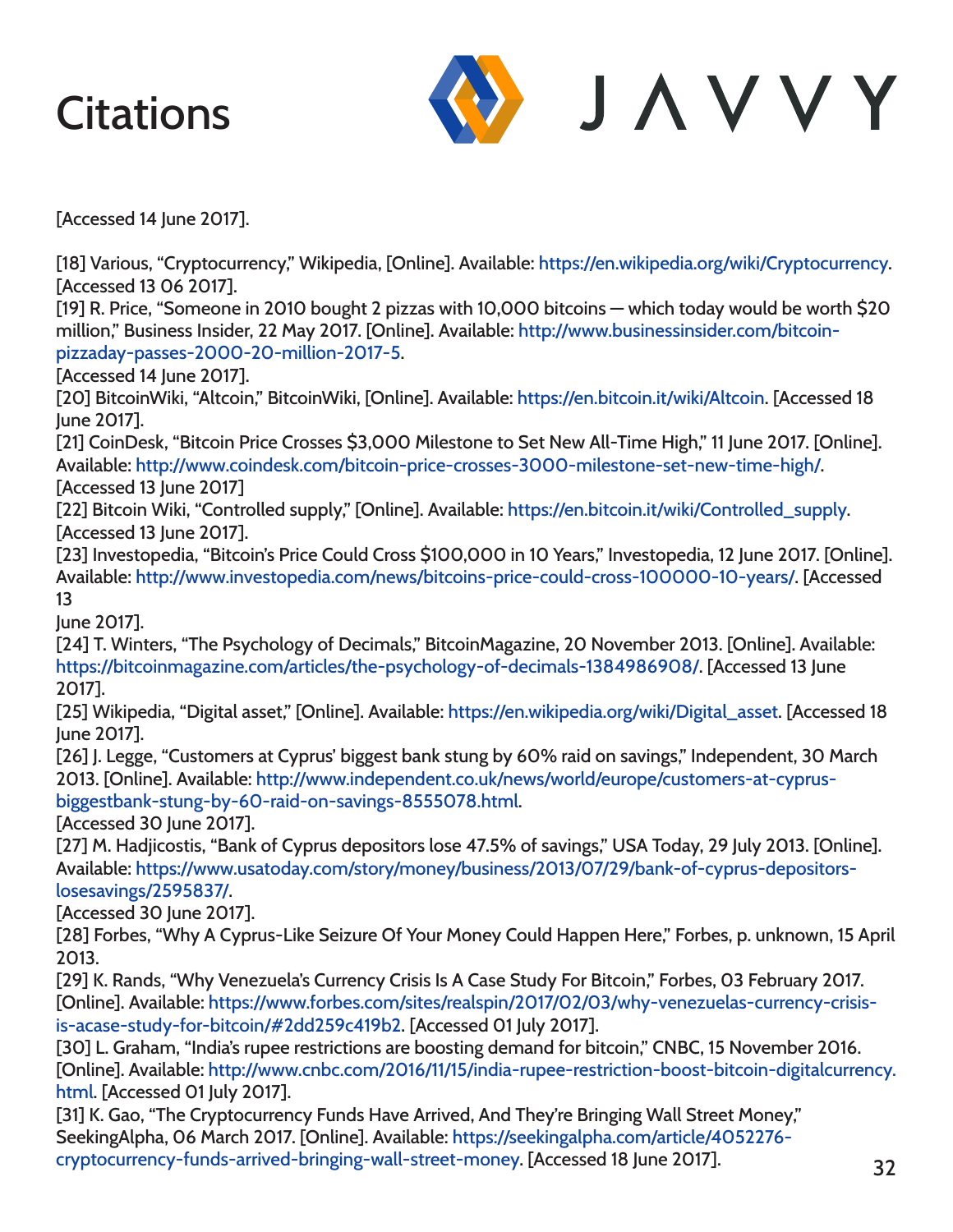![](_page_31_Picture_1.jpeg)

[Accessed 14 June 2017].

[18] Various, "Cryptocurrency," Wikipedia, [Online]. Available: https://en.wikipedia.org/wiki/Cryptocurrency. [Accessed 13 06 2017].

[19] R. Price, "Someone in 2010 bought 2 pizzas with 10,000 bitcoins — which today would be worth \$20 million," Business Insider, 22 May 2017. [Online]. Available: http://www.businessinsider.com/bitcoinpizzaday-passes-2000-20-million-2017-5.

[Accessed 14 June 2017].

[20] BitcoinWiki, "Altcoin," BitcoinWiki, [Online]. Available: https://en.bitcoin.it/wiki/Altcoin. [Accessed 18 June 2017].

[21] CoinDesk, "Bitcoin Price Crosses \$3,000 Milestone to Set New All-Time High," 11 June 2017. [Online]. Available: http://www.coindesk.com/bitcoin-price-crosses-3000-milestone-set-new-time-high/. [Accessed 13 June 2017]

[22] Bitcoin Wiki, "Controlled supply," [Online]. Available: https://en.bitcoin.it/wiki/Controlled\_supply. [Accessed 13 June 2017].

[23] Investopedia, "Bitcoin's Price Could Cross \$100,000 in 10 Years," Investopedia, 12 June 2017. [Online]. Available: http://www.investopedia.com/news/bitcoins-price-could-cross-100000-10-years/. [Accessed 13

June 2017].

[24] T. Winters, "The Psychology of Decimals," BitcoinMagazine, 20 November 2013. [Online]. Available: https://bitcoinmagazine.com/articles/the-psychology-of-decimals-1384986908/. [Accessed 13 June 2017].

[25] Wikipedia, "Digital asset," [Online]. Available: https://en.wikipedia.org/wiki/Digital\_asset. [Accessed 18 June 2017].

[26] J. Legge, "Customers at Cyprus' biggest bank stung by 60% raid on savings," Independent, 30 March 2013. [Online]. Available: http://www.independent.co.uk/news/world/europe/customers-at-cyprusbiggestbank-stung-by-60-raid-on-savings-8555078.html.

[Accessed 30 June 2017].

[27] M. Hadjicostis, "Bank of Cyprus depositors lose 47.5% of savings," USA Today, 29 July 2013. [Online]. Available: https://www.usatoday.com/story/money/business/2013/07/29/bank-of-cyprus-depositorslosesavings/2595837/.

[Accessed 30 June 2017].

[28] Forbes, "Why A Cyprus-Like Seizure Of Your Money Could Happen Here," Forbes, p. unknown, 15 April 2013.

[29] K. Rands, "Why Venezuela's Currency Crisis Is A Case Study For Bitcoin," Forbes, 03 February 2017. [Online]. Available: https://www.forbes.com/sites/realspin/2017/02/03/why-venezuelas-currency-crisisis-acase-study-for-bitcoin/#2dd259c419b2. [Accessed 01 July 2017].

[30] L. Graham, "India's rupee restrictions are boosting demand for bitcoin," CNBC, 15 November 2016. [Online]. Available: http://www.cnbc.com/2016/11/15/india-rupee-restriction-boost-bitcoin-digitalcurrency. html. [Accessed 01 July 2017].

[31] K. Gao, "The Cryptocurrency Funds Have Arrived, And They're Bringing Wall Street Money," SeekingAlpha, 06 March 2017. [Online]. Available: https://seekingalpha.com/article/4052276 cryptocurrency-funds-arrived-bringing-wall-street-money. [Accessed 18 June 2017].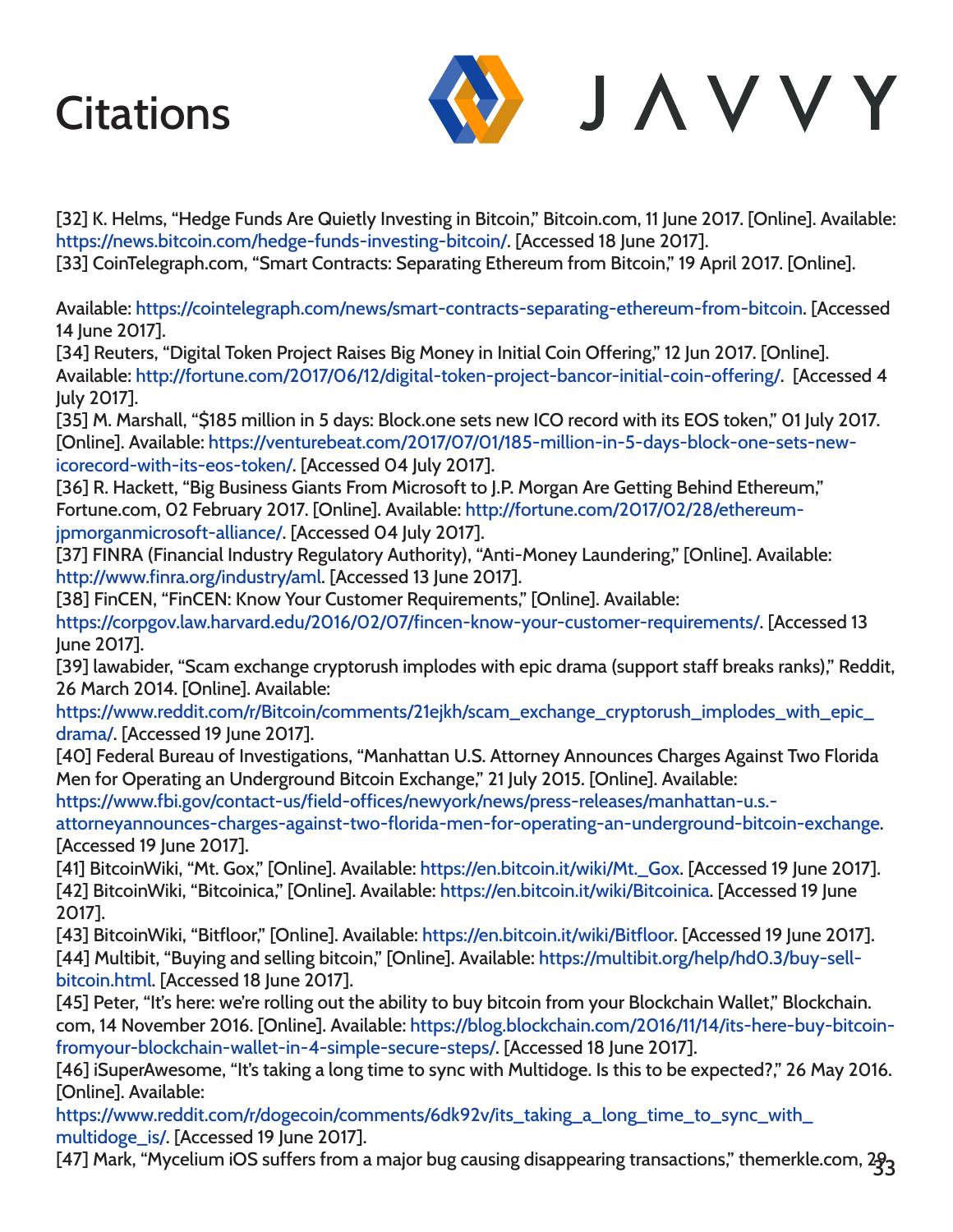![](_page_32_Picture_1.jpeg)

[32] K. Helms, "Hedge Funds Are Quietly Investing in Bitcoin," Bitcoin.com, 11 June 2017. [Online]. Available: https://news.bitcoin.com/hedge-funds-investing-bitcoin/. [Accessed 18 June 2017]. [33] CoinTelegraph.com, "Smart Contracts: Separating Ethereum from Bitcoin," 19 April 2017. [Online].

Available: https://cointelegraph.com/news/smart-contracts-separating-ethereum-from-bitcoin. [Accessed 14 June 2017].

[34] Reuters, "Digital Token Project Raises Big Money in Initial Coin Offering," 12 Jun 2017. [Online]. Available: http://fortune.com/2017/06/12/digital-token-project-bancor-initial-coin-offering/. [Accessed 4 July 2017].

[35] M. Marshall, "\$185 million in 5 days: Block.one sets new ICO record with its EOS token," 01 July 2017. [Online]. Available: https://venturebeat.com/2017/07/01/185-million-in-5-days-block-one-sets-newicorecord-with-its-eos-token/. [Accessed 04 July 2017].

[36] R. Hackett, "Big Business Giants From Microsoft to J.P. Morgan Are Getting Behind Ethereum," Fortune.com, 02 February 2017. [Online]. Available: http://fortune.com/2017/02/28/ethereumjpmorganmicrosoft-alliance/. [Accessed 04 July 2017].

[37] FINRA (Financial Industry Regulatory Authority), "Anti-Money Laundering," [Online]. Available: http://www.finra.org/industry/aml. [Accessed 13 June 2017].

[38] FinCEN, "FinCEN: Know Your Customer Requirements," [Online]. Available:

https://corpgov.law.harvard.edu/2016/02/07/fincen-know-your-customer-requirements/. [Accessed 13 June 2017].

[39] lawabider, "Scam exchange cryptorush implodes with epic drama (support staff breaks ranks)," Reddit, 26 March 2014. [Online]. Available:

https://www.reddit.com/r/Bitcoin/comments/21ejkh/scam\_exchange\_cryptorush\_implodes\_with\_epic\_ drama/. [Accessed 19 June 2017].

[40] Federal Bureau of Investigations, "Manhattan U.S. Attorney Announces Charges Against Two Florida Men for Operating an Underground Bitcoin Exchange," 21 July 2015. [Online]. Available:

https://www.fbi.gov/contact-us/field-offices/newyork/news/press-releases/manhattan-u.s.-

attorneyannounces-charges-against-two-florida-men-for-operating-an-underground-bitcoin-exchange. [Accessed 19 June 2017].

[41] BitcoinWiki, "Mt. Gox," [Online]. Available: https://en.bitcoin.it/wiki/Mt.\_Gox. [Accessed 19 June 2017]. [42] BitcoinWiki, "Bitcoinica," [Online]. Available: https://en.bitcoin.it/wiki/Bitcoinica. [Accessed 19 June 2017].

[43] BitcoinWiki, "Bitfloor," [Online]. Available: https://en.bitcoin.it/wiki/Bitfloor. [Accessed 19 June 2017]. [44] Multibit, "Buying and selling bitcoin," [Online]. Available: https://multibit.org/help/hd0.3/buy-sellbitcoin.html. [Accessed 18 June 2017].

[45] Peter, "It's here: we're rolling out the ability to buy bitcoin from your Blockchain Wallet," Blockchain. com, 14 November 2016. [Online]. Available: https://blog.blockchain.com/2016/11/14/its-here-buy-bitcoinfromyour-blockchain-wallet-in-4-simple-secure-steps/. [Accessed 18 June 2017].

[46] iSuperAwesome, "It's taking a long time to sync with Multidoge. Is this to be expected?," 26 May 2016. [Online]. Available:

https://www.reddit.com/r/dogecoin/comments/6dk92v/its\_taking\_a\_long\_time\_to\_sync\_with\_ multidoge\_is/. [Accessed 19 June 2017].

[47] Mark, "Mycelium iOS suffers from a major bug causing disappearing transactions," themerkle.com, 233